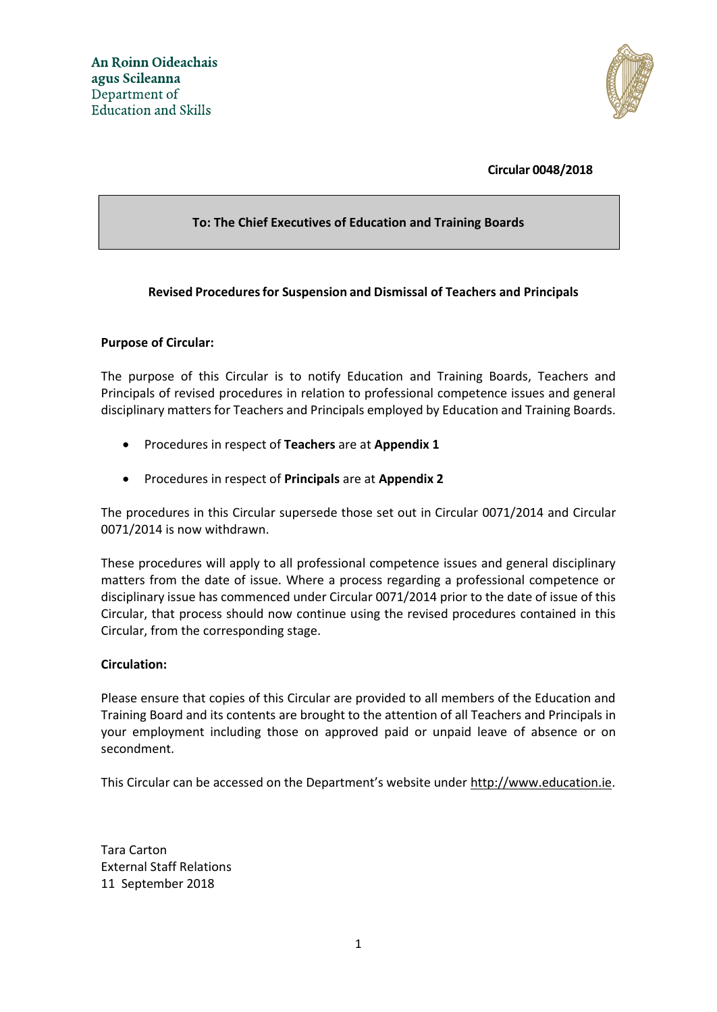

**Circular 0048/2018**

# **To: The Chief Executives of Education and Training Boards**

# **Revised Proceduresfor Suspension and Dismissal of Teachers and Principals**

# **Purpose of Circular:**

The purpose of this Circular is to notify Education and Training Boards, Teachers and Principals of revised procedures in relation to professional competence issues and general disciplinary matters for Teachers and Principals employed by Education and Training Boards.

- Procedures in respect of **Teachers** are at **Appendix 1**
- Procedures in respect of **Principals** are at **Appendix 2**

The procedures in this Circular supersede those set out in Circular 0071/2014 and Circular 0071/2014 is now withdrawn.

These procedures will apply to all professional competence issues and general disciplinary matters from the date of issue. Where a process regarding a professional competence or disciplinary issue has commenced under Circular 0071/2014 prior to the date of issue of this Circular, that process should now continue using the revised procedures contained in this Circular, from the corresponding stage.

# **Circulation:**

Please ensure that copies of this Circular are provided to all members of the Education and Training Board and its contents are brought to the attention of all Teachers and Principals in your employment including those on approved paid or unpaid leave of absence or on secondment.

This Circular can be accessed on the Department's website under [http://www.education.ie.](http://www.education.ie/)

Tara Carton External Staff Relations 11 September 2018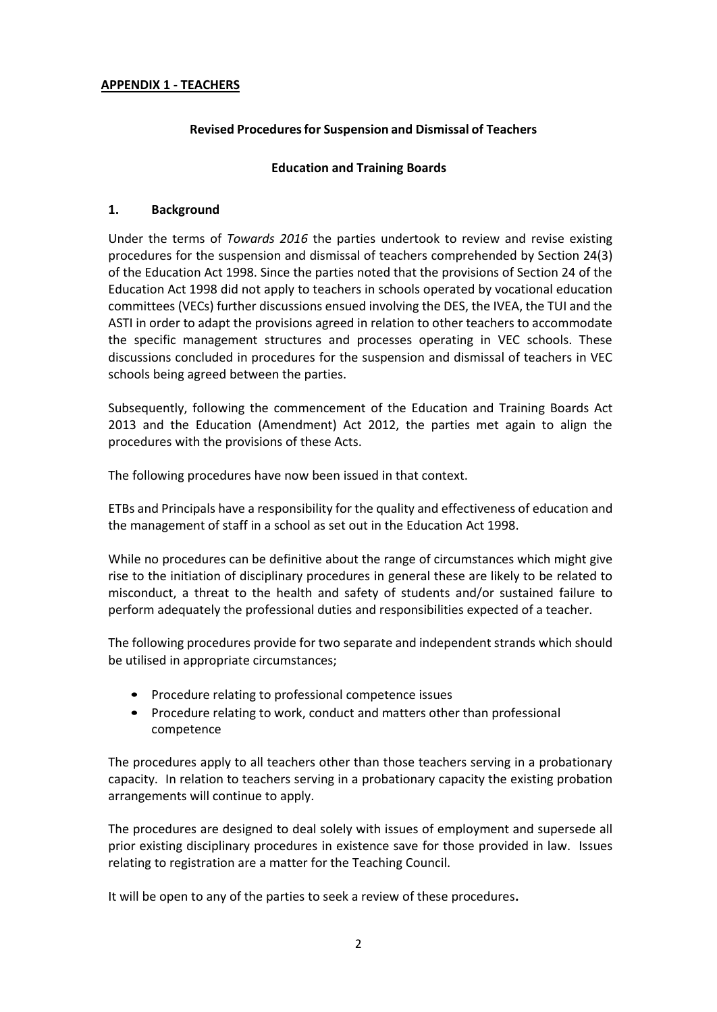## **APPENDIX 1 - TEACHERS**

## **Revised Proceduresfor Suspension and Dismissal of Teachers**

## **Education and Training Boards**

### **1. Background**

Under the terms of *Towards 2016* the parties undertook to review and revise existing procedures for the suspension and dismissal of teachers comprehended by Section 24(3) of the Education Act 1998. Since the parties noted that the provisions of Section 24 of the Education Act 1998 did not apply to teachers in schools operated by vocational education committees (VECs) further discussions ensued involving the DES, the IVEA, the TUI and the ASTI in order to adapt the provisions agreed in relation to other teachers to accommodate the specific management structures and processes operating in VEC schools. These discussions concluded in procedures for the suspension and dismissal of teachers in VEC schools being agreed between the parties.

Subsequently, following the commencement of the Education and Training Boards Act 2013 and the Education (Amendment) Act 2012, the parties met again to align the procedures with the provisions of these Acts.

The following procedures have now been issued in that context.

ETBs and Principals have a responsibility for the quality and effectiveness of education and the management of staff in a school as set out in the Education Act 1998.

While no procedures can be definitive about the range of circumstances which might give rise to the initiation of disciplinary procedures in general these are likely to be related to misconduct, a threat to the health and safety of students and/or sustained failure to perform adequately the professional duties and responsibilities expected of a teacher.

The following procedures provide for two separate and independent strands which should be utilised in appropriate circumstances;

- Procedure relating to professional competence issues
- Procedure relating to work, conduct and matters other than professional competence

The procedures apply to all teachers other than those teachers serving in a probationary capacity. In relation to teachers serving in a probationary capacity the existing probation arrangements will continue to apply.

The procedures are designed to deal solely with issues of employment and supersede all prior existing disciplinary procedures in existence save for those provided in law. Issues relating to registration are a matter for the Teaching Council.

It will be open to any of the parties to seek a review of these procedures**.**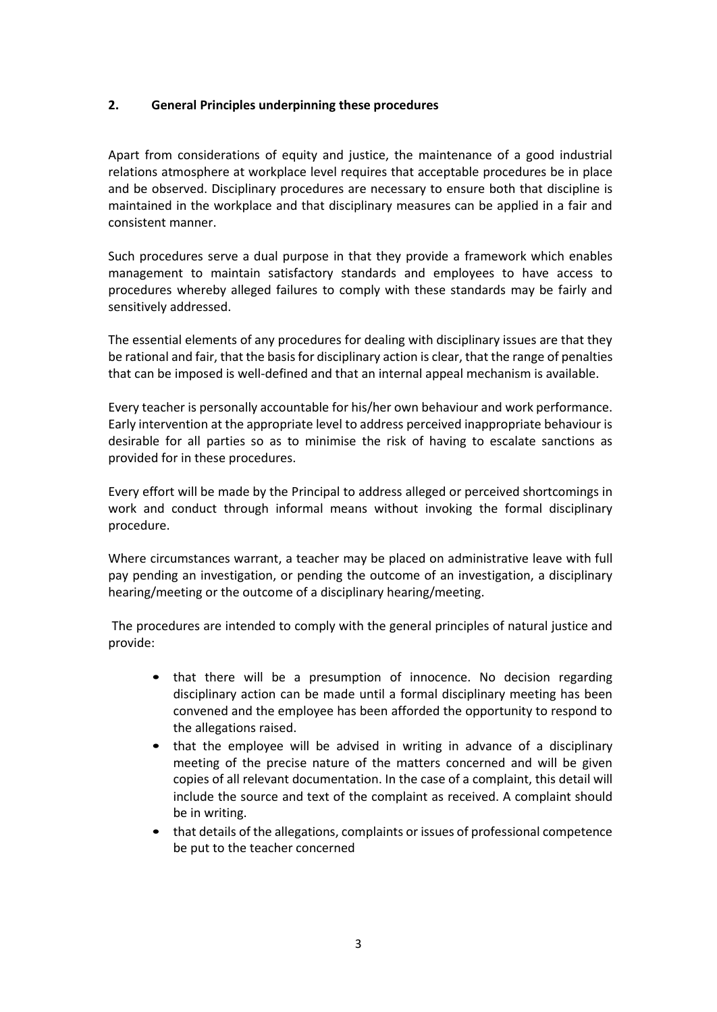# **2. General Principles underpinning these procedures**

Apart from considerations of equity and justice, the maintenance of a good industrial relations atmosphere at workplace level requires that acceptable procedures be in place and be observed. Disciplinary procedures are necessary to ensure both that discipline is maintained in the workplace and that disciplinary measures can be applied in a fair and consistent manner.

Such procedures serve a dual purpose in that they provide a framework which enables management to maintain satisfactory standards and employees to have access to procedures whereby alleged failures to comply with these standards may be fairly and sensitively addressed.

The essential elements of any procedures for dealing with disciplinary issues are that they be rational and fair, that the basis for disciplinary action is clear, that the range of penalties that can be imposed is well-defined and that an internal appeal mechanism is available.

Every teacher is personally accountable for his/her own behaviour and work performance. Early intervention at the appropriate level to address perceived inappropriate behaviour is desirable for all parties so as to minimise the risk of having to escalate sanctions as provided for in these procedures.

Every effort will be made by the Principal to address alleged or perceived shortcomings in work and conduct through informal means without invoking the formal disciplinary procedure.

Where circumstances warrant, a teacher may be placed on administrative leave with full pay pending an investigation, or pending the outcome of an investigation, a disciplinary hearing/meeting or the outcome of a disciplinary hearing/meeting.

The procedures are intended to comply with the general principles of natural justice and provide:

- that there will be a presumption of innocence. No decision regarding disciplinary action can be made until a formal disciplinary meeting has been convened and the employee has been afforded the opportunity to respond to the allegations raised.
- that the employee will be advised in writing in advance of a disciplinary meeting of the precise nature of the matters concerned and will be given copies of all relevant documentation. In the case of a complaint, this detail will include the source and text of the complaint as received. A complaint should be in writing.
- that details of the allegations, complaints or issues of professional competence be put to the teacher concerned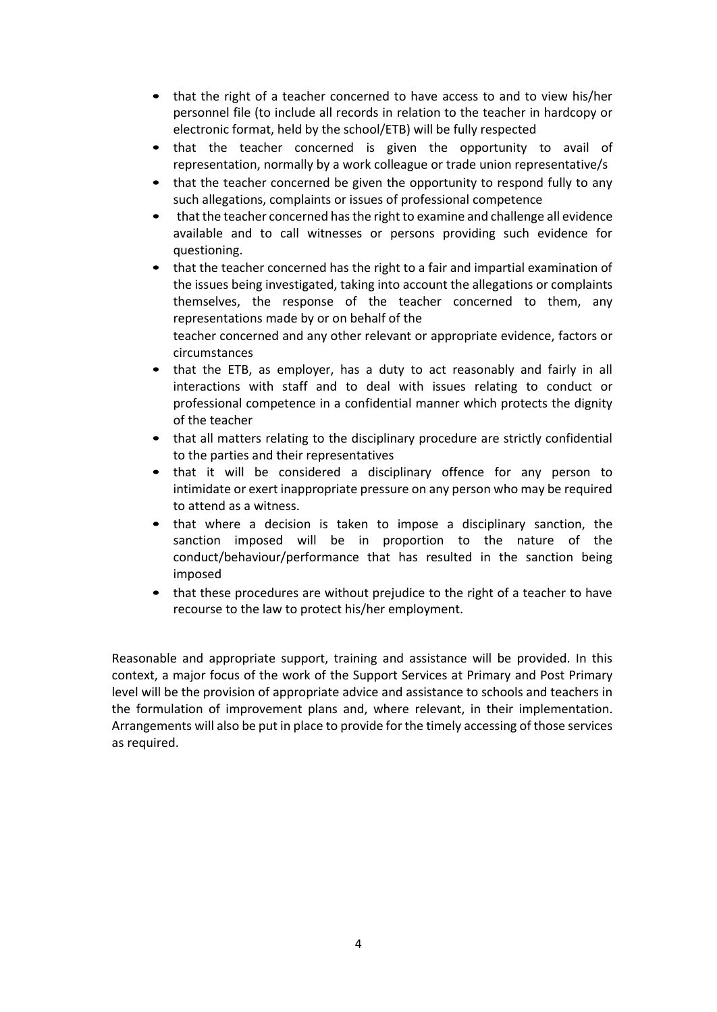- that the right of a teacher concerned to have access to and to view his/her personnel file (to include all records in relation to the teacher in hardcopy or electronic format, held by the school/ETB) will be fully respected
- that the teacher concerned is given the opportunity to avail of representation, normally by a work colleague or trade union representative/s
- that the teacher concerned be given the opportunity to respond fully to any such allegations, complaints or issues of professional competence
- that the teacher concerned has the right to examine and challenge all evidence available and to call witnesses or persons providing such evidence for questioning.
- that the teacher concerned has the right to a fair and impartial examination of the issues being investigated, taking into account the allegations or complaints themselves, the response of the teacher concerned to them, any representations made by or on behalf of the teacher concerned and any other relevant or appropriate evidence, factors or circumstances
- that the ETB, as employer, has a duty to act reasonably and fairly in all interactions with staff and to deal with issues relating to conduct or professional competence in a confidential manner which protects the dignity of the teacher
- that all matters relating to the disciplinary procedure are strictly confidential to the parties and their representatives
- that it will be considered a disciplinary offence for any person to intimidate or exert inappropriate pressure on any person who may be required to attend as a witness.
- that where a decision is taken to impose a disciplinary sanction, the sanction imposed will be in proportion to the nature of the conduct/behaviour/performance that has resulted in the sanction being imposed
- that these procedures are without prejudice to the right of a teacher to have recourse to the law to protect his/her employment.

Reasonable and appropriate support, training and assistance will be provided. In this context, a major focus of the work of the Support Services at Primary and Post Primary level will be the provision of appropriate advice and assistance to schools and teachers in the formulation of improvement plans and, where relevant, in their implementation. Arrangements will also be put in place to provide for the timely accessing of those services as required.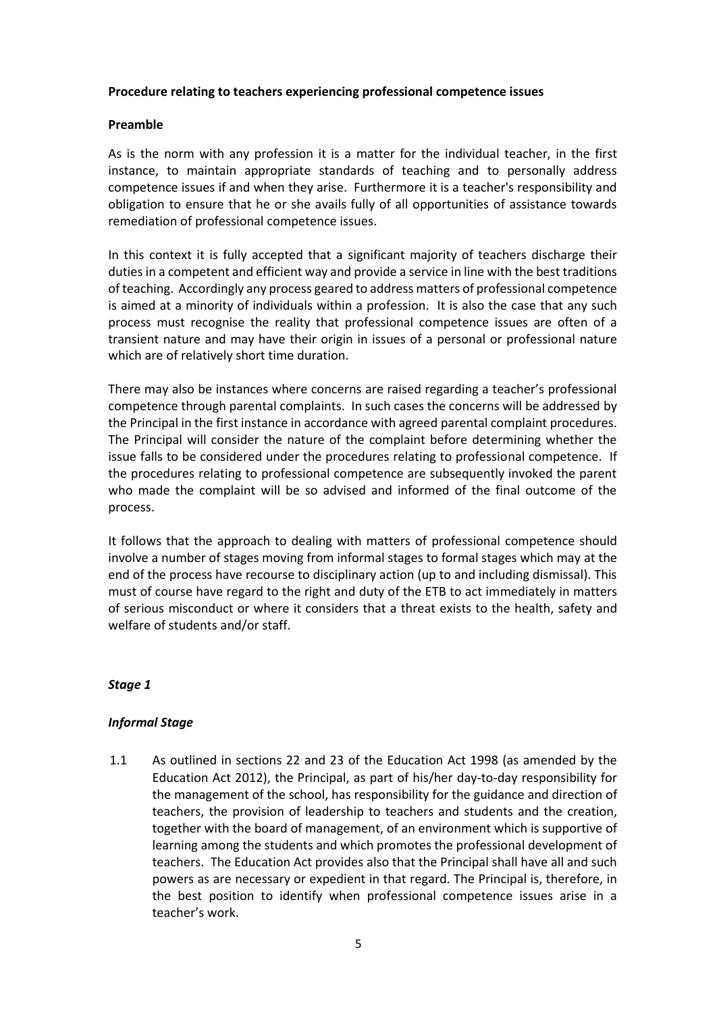### **Procedure relating to teachers experiencing professional competence issues**

## **Preamble**

As is the norm with any profession it is a matter for the individual teacher, in the first instance, to maintain appropriate standards of teaching and to personally address competence issues if and when they arise. Furthermore it is a teacher's responsibility and obligation to ensure that he or she avails fully of all opportunities of assistance towards remediation of professional competence issues.

In this context it is fully accepted that a significant majority of teachers discharge their duties in a competent and efficient way and provide a service in line with the best traditions of teaching. Accordingly any process geared to address matters of professional competence is aimed at a minority of individuals within a profession. It is also the case that any such process must recognise the reality that professional competence issues are often of a transient nature and may have their origin in issues of a personal or professional nature which are of relatively short time duration.

There may also be instances where concerns are raised regarding a teacher's professional competence through parental complaints. In such cases the concerns will be addressed by the Principal in the first instance in accordance with agreed parental complaint procedures. The Principal will consider the nature of the complaint before determining whether the issue falls to be considered under the procedures relating to professional competence. If the procedures relating to professional competence are subsequently invoked the parent who made the complaint will be so advised and informed of the final outcome of the process.

It follows that the approach to dealing with matters of professional competence should involve a number of stages moving from informal stages to formal stages which may at the end of the process have recourse to disciplinary action (up to and including dismissal). This must of course have regard to the right and duty of the ETB to act immediately in matters of serious misconduct or where it considers that a threat exists to the health, safety and welfare of students and/or staff.

# *Stage 1*

# *Informal Stage*

1.1 As outlined in sections 22 and 23 of the Education Act 1998 (as amended by the Education Act 2012), the Principal, as part of his/her day-to-day responsibility for the management of the school, has responsibility for the guidance and direction of teachers, the provision of leadership to teachers and students and the creation, together with the board of management, of an environment which is supportive of learning among the students and which promotes the professional development of teachers. The Education Act provides also that the Principal shall have all and such powers as are necessary or expedient in that regard. The Principal is, therefore, in the best position to identify when professional competence issues arise in a teacher's work.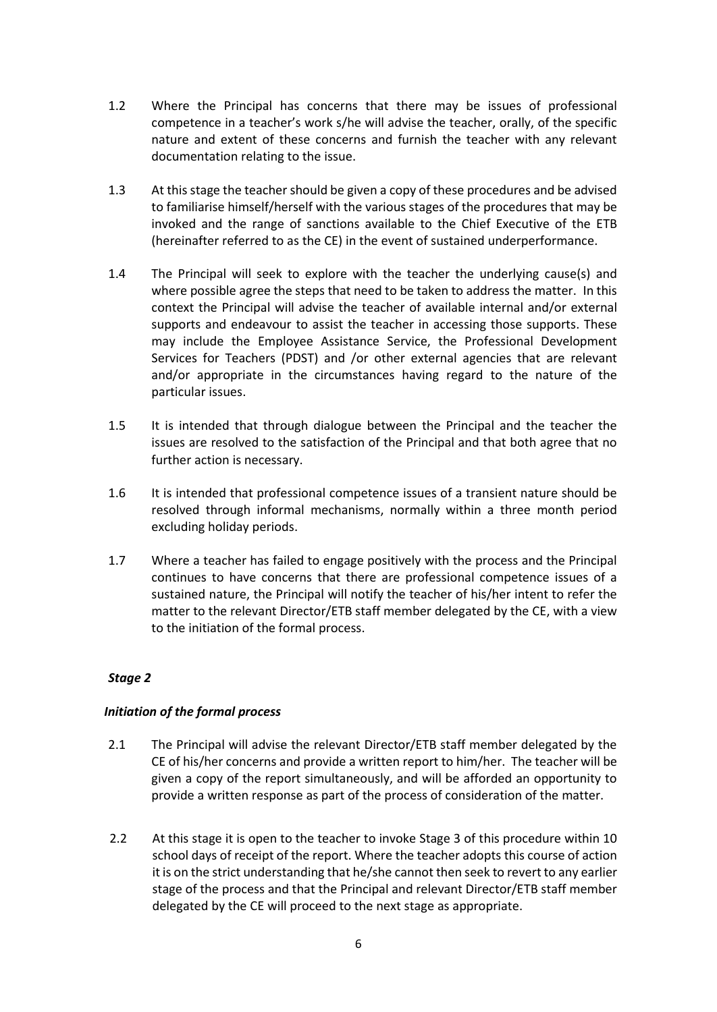- 1.2 Where the Principal has concerns that there may be issues of professional competence in a teacher's work s/he will advise the teacher, orally, of the specific nature and extent of these concerns and furnish the teacher with any relevant documentation relating to the issue.
- 1.3 At this stage the teacher should be given a copy of these procedures and be advised to familiarise himself/herself with the various stages of the procedures that may be invoked and the range of sanctions available to the Chief Executive of the ETB (hereinafter referred to as the CE) in the event of sustained underperformance.
- 1.4 The Principal will seek to explore with the teacher the underlying cause(s) and where possible agree the steps that need to be taken to address the matter. In this context the Principal will advise the teacher of available internal and/or external supports and endeavour to assist the teacher in accessing those supports. These may include the Employee Assistance Service, the Professional Development Services for Teachers (PDST) and /or other external agencies that are relevant and/or appropriate in the circumstances having regard to the nature of the particular issues.
- 1.5 It is intended that through dialogue between the Principal and the teacher the issues are resolved to the satisfaction of the Principal and that both agree that no further action is necessary.
- 1.6 It is intended that professional competence issues of a transient nature should be resolved through informal mechanisms, normally within a three month period excluding holiday periods.
- 1.7 Where a teacher has failed to engage positively with the process and the Principal continues to have concerns that there are professional competence issues of a sustained nature, the Principal will notify the teacher of his/her intent to refer the matter to the relevant Director/ETB staff member delegated by the CE, with a view to the initiation of the formal process.

# *Initiation of the formal process*

- 2.1 The Principal will advise the relevant Director/ETB staff member delegated by the CE of his/her concerns and provide a written report to him/her. The teacher will be given a copy of the report simultaneously, and will be afforded an opportunity to provide a written response as part of the process of consideration of the matter.
- 2.2 At this stage it is open to the teacher to invoke Stage 3 of this procedure within 10 school days of receipt of the report. Where the teacher adopts this course of action it is on the strict understanding that he/she cannot then seek to revert to any earlier stage of the process and that the Principal and relevant Director/ETB staff member delegated by the CE will proceed to the next stage as appropriate.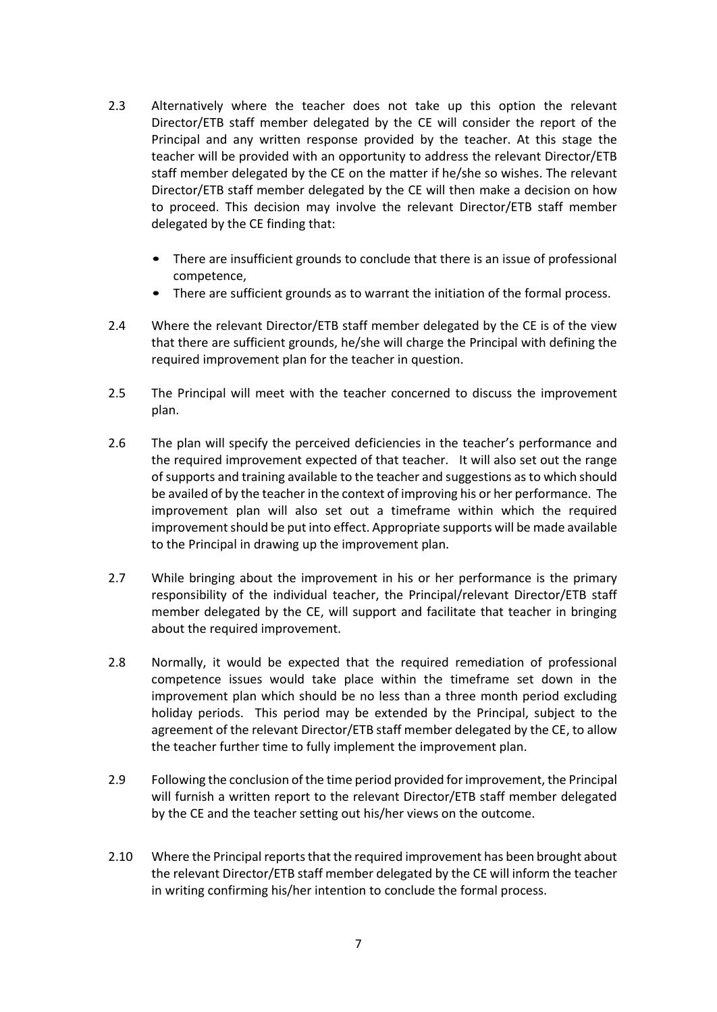- 2.3 Alternatively where the teacher does not take up this option the relevant Director/ETB staff member delegated by the CE will consider the report of the Principal and any written response provided by the teacher. At this stage the teacher will be provided with an opportunity to address the relevant Director/ETB staff member delegated by the CE on the matter if he/she so wishes. The relevant Director/ETB staff member delegated by the CE will then make a decision on how to proceed. This decision may involve the relevant Director/ETB staff member delegated by the CE finding that:
	- There are insufficient grounds to conclude that there is an issue of professional competence,
	- There are sufficient grounds as to warrant the initiation of the formal process.
- 2.4 Where the relevant Director/ETB staff member delegated by the CE is of the view that there are sufficient grounds, he/she will charge the Principal with defining the required improvement plan for the teacher in question.
- 2.5 The Principal will meet with the teacher concerned to discuss the improvement plan.
- 2.6 The plan will specify the perceived deficiencies in the teacher's performance and the required improvement expected of that teacher. It will also set out the range of supports and training available to the teacher and suggestions asto which should be availed of by the teacher in the context of improving his or her performance. The improvement plan will also set out a timeframe within which the required improvement should be put into effect. Appropriate supports will be made available to the Principal in drawing up the improvement plan.
- 2.7 While bringing about the improvement in his or her performance is the primary responsibility of the individual teacher, the Principal/relevant Director/ETB staff member delegated by the CE, will support and facilitate that teacher in bringing about the required improvement.
- 2.8 Normally, it would be expected that the required remediation of professional competence issues would take place within the timeframe set down in the improvement plan which should be no less than a three month period excluding holiday periods. This period may be extended by the Principal, subject to the agreement of the relevant Director/ETB staff member delegated by the CE, to allow the teacher further time to fully implement the improvement plan.
- 2.9 Following the conclusion of the time period provided for improvement, the Principal will furnish a written report to the relevant Director/ETB staff member delegated by the CE and the teacher setting out his/her views on the outcome.
- 2.10 Where the Principal reports that the required improvement has been brought about the relevant Director/ETB staff member delegated by the CE will inform the teacher in writing confirming his/her intention to conclude the formal process.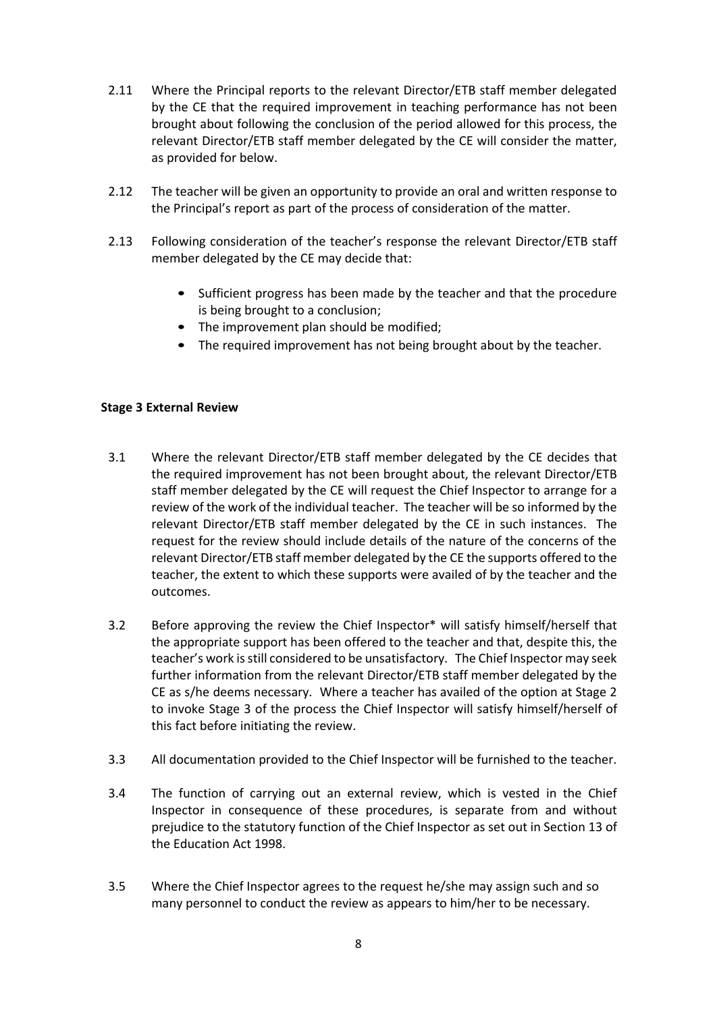- 2.11 Where the Principal reports to the relevant Director/ETB staff member delegated by the CE that the required improvement in teaching performance has not been brought about following the conclusion of the period allowed for this process, the relevant Director/ETB staff member delegated by the CE will consider the matter, as provided for below.
- 2.12 The teacher will be given an opportunity to provide an oral and written response to the Principal's report as part of the process of consideration of the matter.
- 2.13 Following consideration of the teacher's response the relevant Director/ETB staff member delegated by the CE may decide that:
	- Sufficient progress has been made by the teacher and that the procedure is being brought to a conclusion;
	- The improvement plan should be modified;
	- The required improvement has not being brought about by the teacher.

# **Stage 3 External Review**

- 3.1 Where the relevant Director/ETB staff member delegated by the CE decides that the required improvement has not been brought about, the relevant Director/ETB staff member delegated by the CE will request the Chief Inspector to arrange for a review of the work of the individual teacher. The teacher will be so informed by the relevant Director/ETB staff member delegated by the CE in such instances. The request for the review should include details of the nature of the concerns of the relevant Director/ETB staff member delegated by the CE the supports offered to the teacher, the extent to which these supports were availed of by the teacher and the outcomes.
- 3.2 Before approving the review the Chief Inspector\* will satisfy himself/herself that the appropriate support has been offered to the teacher and that, despite this, the teacher's work isstill considered to be unsatisfactory. The Chief Inspector may seek further information from the relevant Director/ETB staff member delegated by the CE as s/he deems necessary. Where a teacher has availed of the option at Stage 2 to invoke Stage 3 of the process the Chief Inspector will satisfy himself/herself of this fact before initiating the review.
- 3.3 All documentation provided to the Chief Inspector will be furnished to the teacher.
- 3.4 The function of carrying out an external review, which is vested in the Chief Inspector in consequence of these procedures, is separate from and without prejudice to the statutory function of the Chief Inspector as set out in Section 13 of the Education Act 1998.
- 3.5 Where the Chief Inspector agrees to the request he/she may assign such and so many personnel to conduct the review as appears to him/her to be necessary.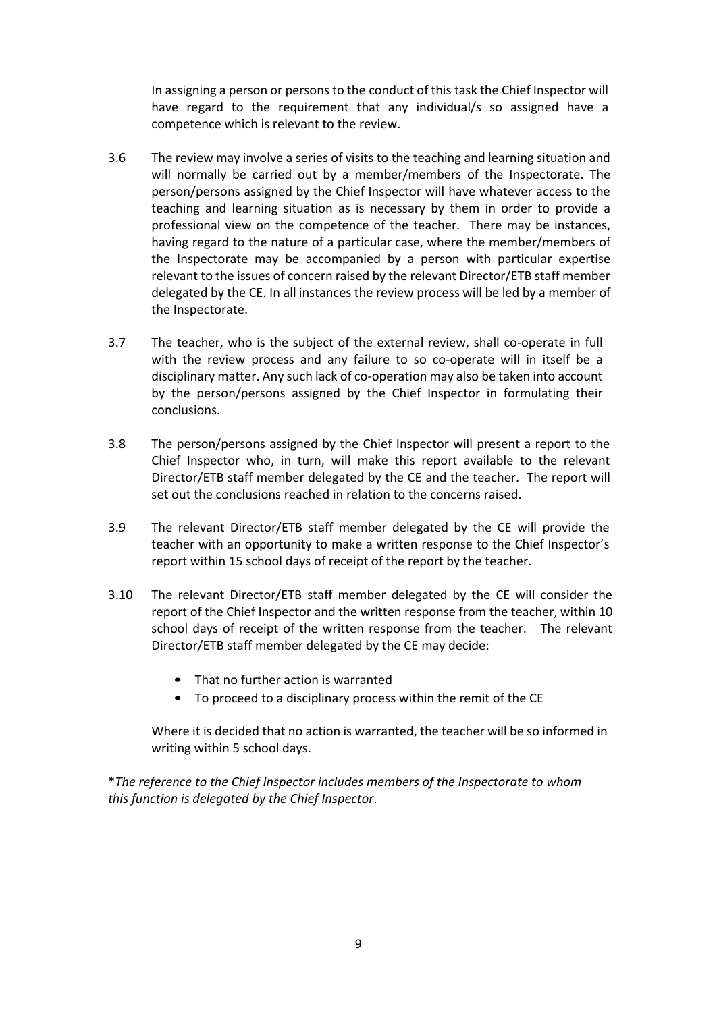In assigning a person or persons to the conduct of this task the Chief Inspector will have regard to the requirement that any individual/s so assigned have a competence which is relevant to the review.

- 3.6 The review may involve a series of visits to the teaching and learning situation and will normally be carried out by a member/members of the Inspectorate. The person/persons assigned by the Chief Inspector will have whatever access to the teaching and learning situation as is necessary by them in order to provide a professional view on the competence of the teacher. There may be instances, having regard to the nature of a particular case, where the member/members of the Inspectorate may be accompanied by a person with particular expertise relevant to the issues of concern raised by the relevant Director/ETB staff member delegated by the CE. In all instances the review process will be led by a member of the Inspectorate.
- 3.7 The teacher, who is the subject of the external review, shall co-operate in full with the review process and any failure to so co-operate will in itself be a disciplinary matter. Any such lack of co-operation may also be taken into account by the person/persons assigned by the Chief Inspector in formulating their conclusions.
- 3.8 The person/persons assigned by the Chief Inspector will present a report to the Chief Inspector who, in turn, will make this report available to the relevant Director/ETB staff member delegated by the CE and the teacher. The report will set out the conclusions reached in relation to the concerns raised.
- 3.9 The relevant Director/ETB staff member delegated by the CE will provide the teacher with an opportunity to make a written response to the Chief Inspector's report within 15 school days of receipt of the report by the teacher.
- 3.10 The relevant Director/ETB staff member delegated by the CE will consider the report of the Chief Inspector and the written response from the teacher, within 10 school days of receipt of the written response from the teacher. The relevant Director/ETB staff member delegated by the CE may decide:
	- That no further action is warranted
	- To proceed to a disciplinary process within the remit of the CE

Where it is decided that no action is warranted, the teacher will be so informed in writing within 5 school days.

\**The reference to the Chief Inspector includes members of the Inspectorate to whom this function is delegated by the Chief Inspector*.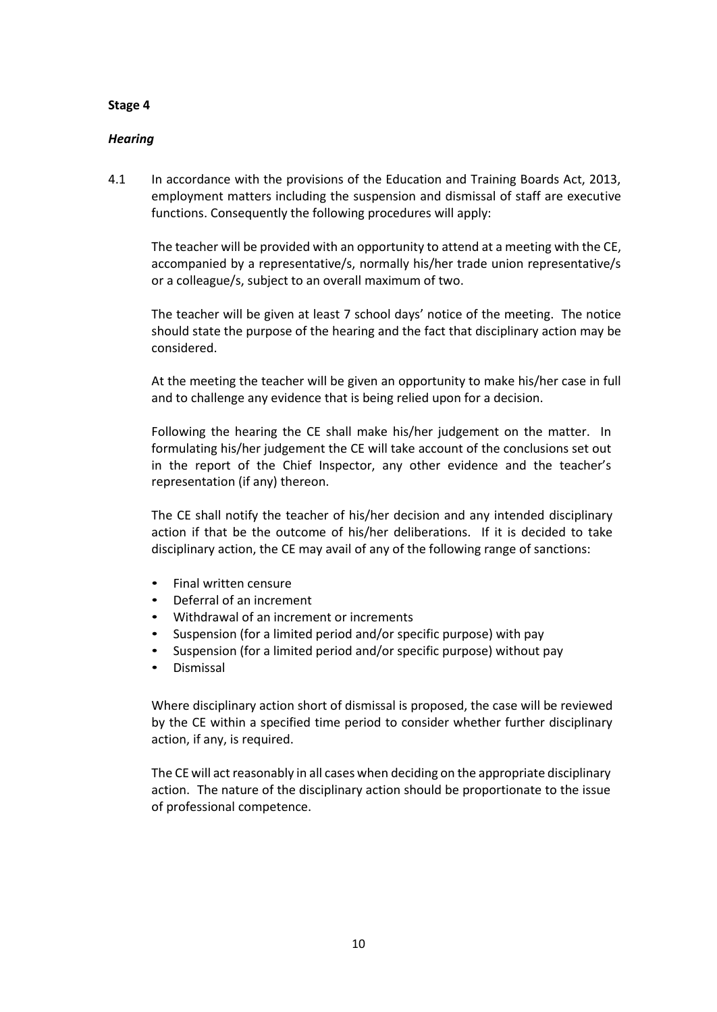## *Hearing*

4.1 In accordance with the provisions of the Education and Training Boards Act, 2013, employment matters including the suspension and dismissal of staff are executive functions. Consequently the following procedures will apply:

The teacher will be provided with an opportunity to attend at a meeting with the CE, accompanied by a representative/s, normally his/her trade union representative/s or a colleague/s, subject to an overall maximum of two.

The teacher will be given at least 7 school days' notice of the meeting. The notice should state the purpose of the hearing and the fact that disciplinary action may be considered.

At the meeting the teacher will be given an opportunity to make his/her case in full and to challenge any evidence that is being relied upon for a decision.

Following the hearing the CE shall make his/her judgement on the matter. In formulating his/her judgement the CE will take account of the conclusions set out in the report of the Chief Inspector, any other evidence and the teacher's representation (if any) thereon.

The CE shall notify the teacher of his/her decision and any intended disciplinary action if that be the outcome of his/her deliberations. If it is decided to take disciplinary action, the CE may avail of any of the following range of sanctions:

- Final written censure
- Deferral of an increment
- Withdrawal of an increment or increments
- Suspension (for a limited period and/or specific purpose) with pay
- Suspension (for a limited period and/or specific purpose) without pay
- Dismissal

Where disciplinary action short of dismissal is proposed, the case will be reviewed by the CE within a specified time period to consider whether further disciplinary action, if any, is required.

The CE will act reasonably in all cases when deciding on the appropriate disciplinary action. The nature of the disciplinary action should be proportionate to the issue of professional competence.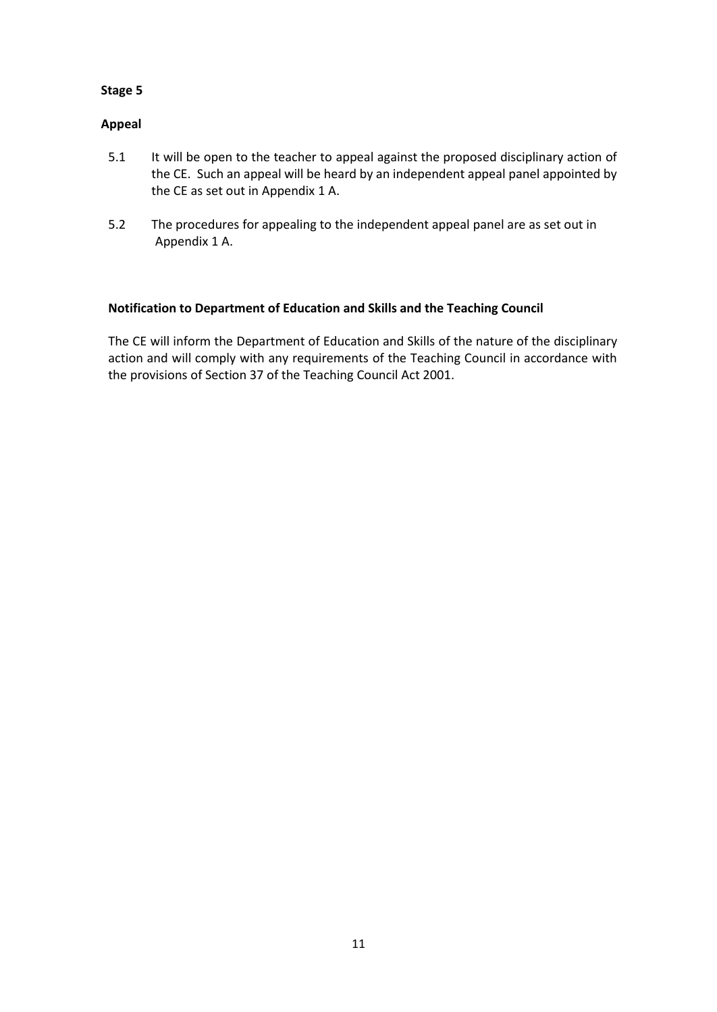# **Appeal**

- 5.1 It will be open to the teacher to appeal against the proposed disciplinary action of the CE. Such an appeal will be heard by an independent appeal panel appointed by the CE as set out in Appendix 1 A.
- 5.2 The procedures for appealing to the independent appeal panel are as set out in Appendix 1 A.

# **Notification to Department of Education and Skills and the Teaching Council**

The CE will inform the Department of Education and Skills of the nature of the disciplinary action and will comply with any requirements of the Teaching Council in accordance with the provisions of Section 37 of the Teaching Council Act 2001.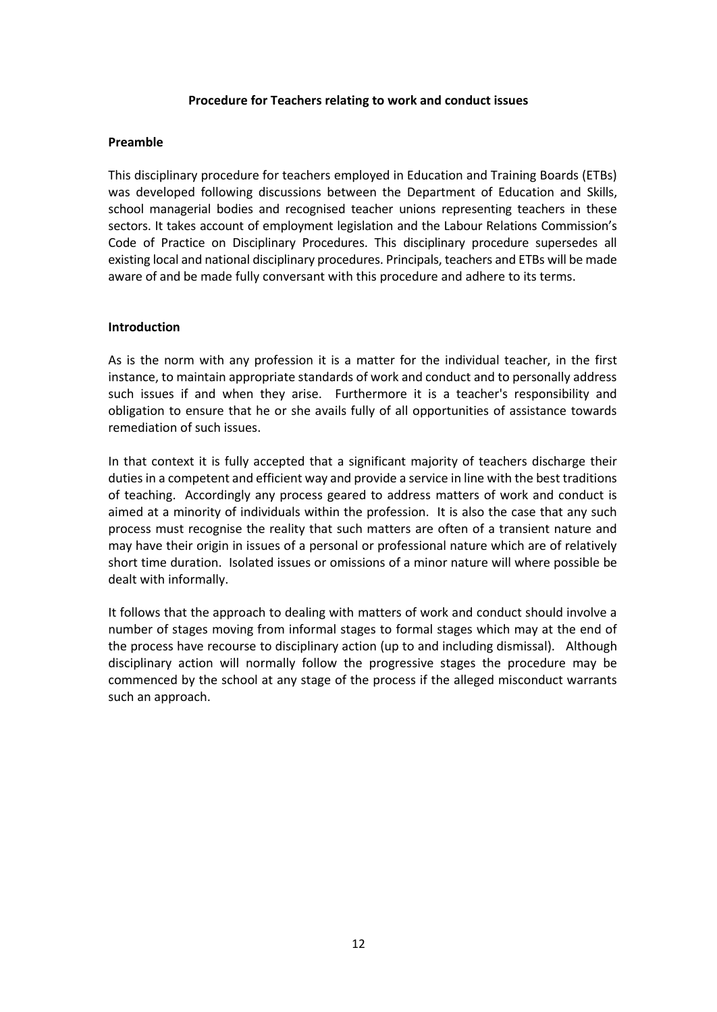### **Procedure for Teachers relating to work and conduct issues**

### **Preamble**

This disciplinary procedure for teachers employed in Education and Training Boards (ETBs) was developed following discussions between the Department of Education and Skills, school managerial bodies and recognised teacher unions representing teachers in these sectors. It takes account of employment legislation and the Labour Relations Commission's Code of Practice on Disciplinary Procedures. This disciplinary procedure supersedes all existing local and national disciplinary procedures. Principals, teachers and ETBs will be made aware of and be made fully conversant with this procedure and adhere to its terms.

## **Introduction**

As is the norm with any profession it is a matter for the individual teacher, in the first instance, to maintain appropriate standards of work and conduct and to personally address such issues if and when they arise. Furthermore it is a teacher's responsibility and obligation to ensure that he or she avails fully of all opportunities of assistance towards remediation of such issues.

In that context it is fully accepted that a significant majority of teachers discharge their duties in a competent and efficient way and provide a service in line with the best traditions of teaching. Accordingly any process geared to address matters of work and conduct is aimed at a minority of individuals within the profession. It is also the case that any such process must recognise the reality that such matters are often of a transient nature and may have their origin in issues of a personal or professional nature which are of relatively short time duration. Isolated issues or omissions of a minor nature will where possible be dealt with informally.

It follows that the approach to dealing with matters of work and conduct should involve a number of stages moving from informal stages to formal stages which may at the end of the process have recourse to disciplinary action (up to and including dismissal). Although disciplinary action will normally follow the progressive stages the procedure may be commenced by the school at any stage of the process if the alleged misconduct warrants such an approach.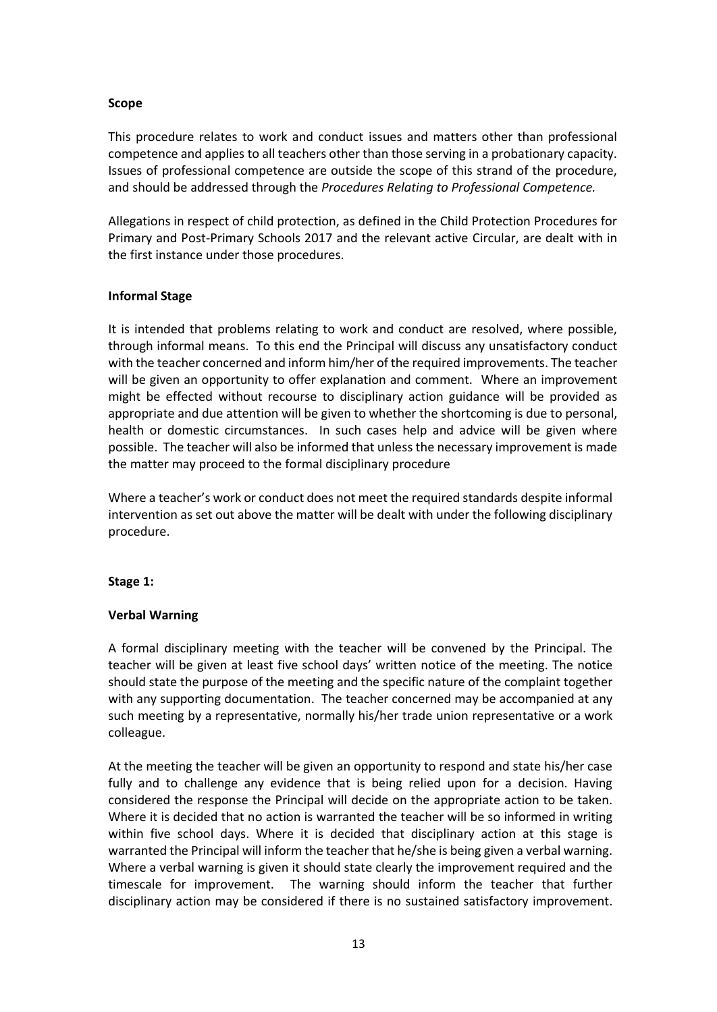# **Scope**

This procedure relates to work and conduct issues and matters other than professional competence and applies to all teachers other than those serving in a probationary capacity. Issues of professional competence are outside the scope of this strand of the procedure, and should be addressed through the *Procedures Relating to Professional Competence.*

Allegations in respect of child protection, as defined in the Child Protection Procedures for Primary and Post-Primary Schools 2017 and the relevant active Circular, are dealt with in the first instance under those procedures.

# **Informal Stage**

It is intended that problems relating to work and conduct are resolved, where possible, through informal means. To this end the Principal will discuss any unsatisfactory conduct with the teacher concerned and inform him/her of the required improvements. The teacher will be given an opportunity to offer explanation and comment. Where an improvement might be effected without recourse to disciplinary action guidance will be provided as appropriate and due attention will be given to whether the shortcoming is due to personal, health or domestic circumstances. In such cases help and advice will be given where possible. The teacher will also be informed that unless the necessary improvement is made the matter may proceed to the formal disciplinary procedure

Where a teacher's work or conduct does not meet the required standards despite informal intervention as set out above the matter will be dealt with under the following disciplinary procedure.

### **Stage 1:**

# **Verbal Warning**

A formal disciplinary meeting with the teacher will be convened by the Principal. The teacher will be given at least five school days' written notice of the meeting. The notice should state the purpose of the meeting and the specific nature of the complaint together with any supporting documentation. The teacher concerned may be accompanied at any such meeting by a representative, normally his/her trade union representative or a work colleague.

At the meeting the teacher will be given an opportunity to respond and state his/her case fully and to challenge any evidence that is being relied upon for a decision. Having considered the response the Principal will decide on the appropriate action to be taken. Where it is decided that no action is warranted the teacher will be so informed in writing within five school days. Where it is decided that disciplinary action at this stage is warranted the Principal will inform the teacher that he/she is being given a verbal warning. Where a verbal warning is given it should state clearly the improvement required and the timescale for improvement. The warning should inform the teacher that further disciplinary action may be considered if there is no sustained satisfactory improvement.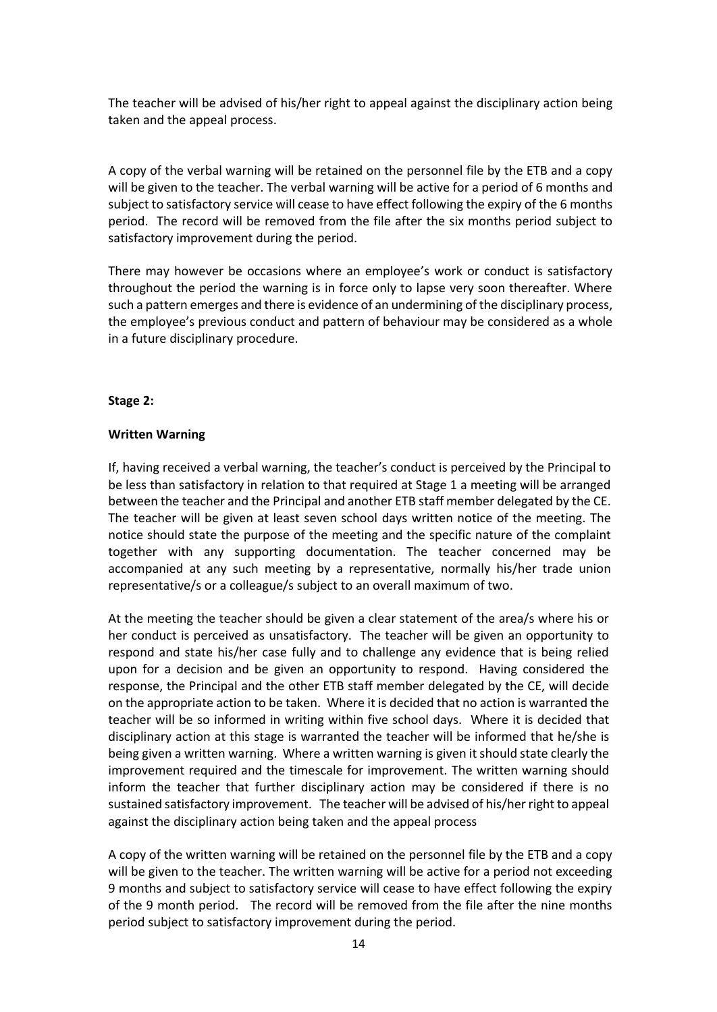The teacher will be advised of his/her right to appeal against the disciplinary action being taken and the appeal process.

A copy of the verbal warning will be retained on the personnel file by the ETB and a copy will be given to the teacher. The verbal warning will be active for a period of 6 months and subject to satisfactory service will cease to have effect following the expiry of the 6 months period. The record will be removed from the file after the six months period subject to satisfactory improvement during the period.

There may however be occasions where an employee's work or conduct is satisfactory throughout the period the warning is in force only to lapse very soon thereafter. Where such a pattern emerges and there is evidence of an undermining of the disciplinary process, the employee's previous conduct and pattern of behaviour may be considered as a whole in a future disciplinary procedure.

#### **Stage 2:**

#### **Written Warning**

If, having received a verbal warning, the teacher's conduct is perceived by the Principal to be less than satisfactory in relation to that required at Stage 1 a meeting will be arranged between the teacher and the Principal and another ETB staff member delegated by the CE. The teacher will be given at least seven school days written notice of the meeting. The notice should state the purpose of the meeting and the specific nature of the complaint together with any supporting documentation. The teacher concerned may be accompanied at any such meeting by a representative, normally his/her trade union representative/s or a colleague/s subject to an overall maximum of two.

At the meeting the teacher should be given a clear statement of the area/s where his or her conduct is perceived as unsatisfactory. The teacher will be given an opportunity to respond and state his/her case fully and to challenge any evidence that is being relied upon for a decision and be given an opportunity to respond. Having considered the response, the Principal and the other ETB staff member delegated by the CE, will decide on the appropriate action to be taken. Where it is decided that no action is warranted the teacher will be so informed in writing within five school days. Where it is decided that disciplinary action at this stage is warranted the teacher will be informed that he/she is being given a written warning. Where a written warning is given it should state clearly the improvement required and the timescale for improvement. The written warning should inform the teacher that further disciplinary action may be considered if there is no sustained satisfactory improvement. The teacher will be advised of his/her right to appeal against the disciplinary action being taken and the appeal process

A copy of the written warning will be retained on the personnel file by the ETB and a copy will be given to the teacher. The written warning will be active for a period not exceeding 9 months and subject to satisfactory service will cease to have effect following the expiry of the 9 month period. The record will be removed from the file after the nine months period subject to satisfactory improvement during the period.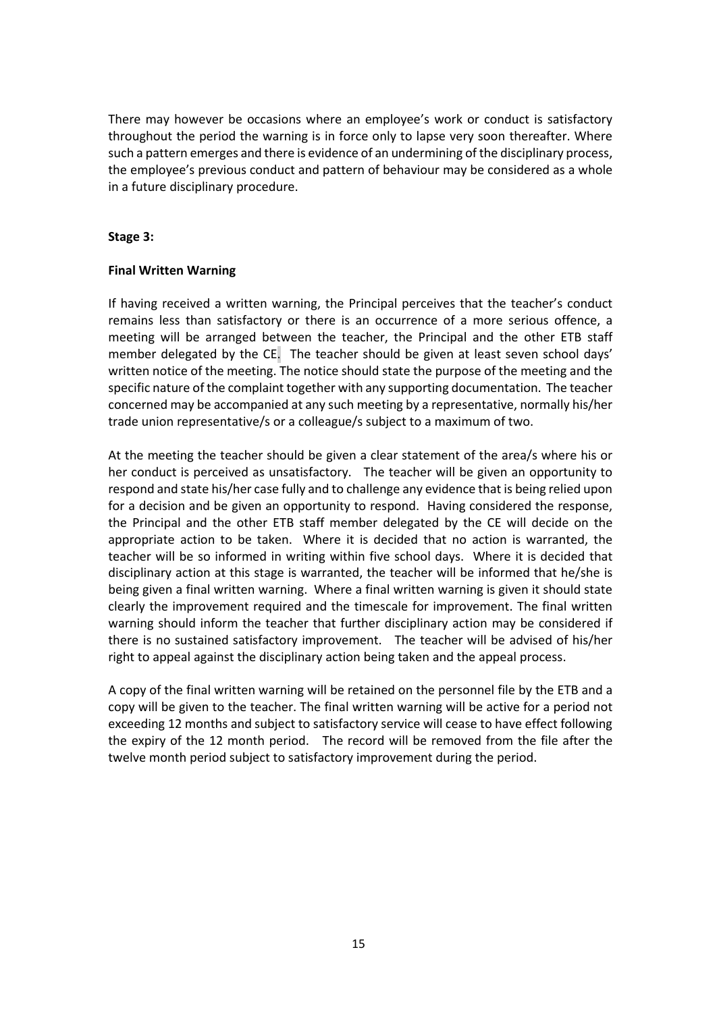There may however be occasions where an employee's work or conduct is satisfactory throughout the period the warning is in force only to lapse very soon thereafter. Where such a pattern emerges and there is evidence of an undermining of the disciplinary process, the employee's previous conduct and pattern of behaviour may be considered as a whole in a future disciplinary procedure.

### **Stage 3:**

## **Final Written Warning**

If having received a written warning, the Principal perceives that the teacher's conduct remains less than satisfactory or there is an occurrence of a more serious offence, a meeting will be arranged between the teacher, the Principal and the other ETB staff member delegated by the CE. The teacher should be given at least seven school days' written notice of the meeting. The notice should state the purpose of the meeting and the specific nature of the complaint together with any supporting documentation. The teacher concerned may be accompanied at any such meeting by a representative, normally his/her trade union representative/s or a colleague/s subject to a maximum of two.

At the meeting the teacher should be given a clear statement of the area/s where his or her conduct is perceived as unsatisfactory. The teacher will be given an opportunity to respond and state his/her case fully and to challenge any evidence that is being relied upon for a decision and be given an opportunity to respond. Having considered the response, the Principal and the other ETB staff member delegated by the CE will decide on the appropriate action to be taken. Where it is decided that no action is warranted, the teacher will be so informed in writing within five school days. Where it is decided that disciplinary action at this stage is warranted, the teacher will be informed that he/she is being given a final written warning. Where a final written warning is given it should state clearly the improvement required and the timescale for improvement. The final written warning should inform the teacher that further disciplinary action may be considered if there is no sustained satisfactory improvement. The teacher will be advised of his/her right to appeal against the disciplinary action being taken and the appeal process.

A copy of the final written warning will be retained on the personnel file by the ETB and a copy will be given to the teacher. The final written warning will be active for a period not exceeding 12 months and subject to satisfactory service will cease to have effect following the expiry of the 12 month period. The record will be removed from the file after the twelve month period subject to satisfactory improvement during the period.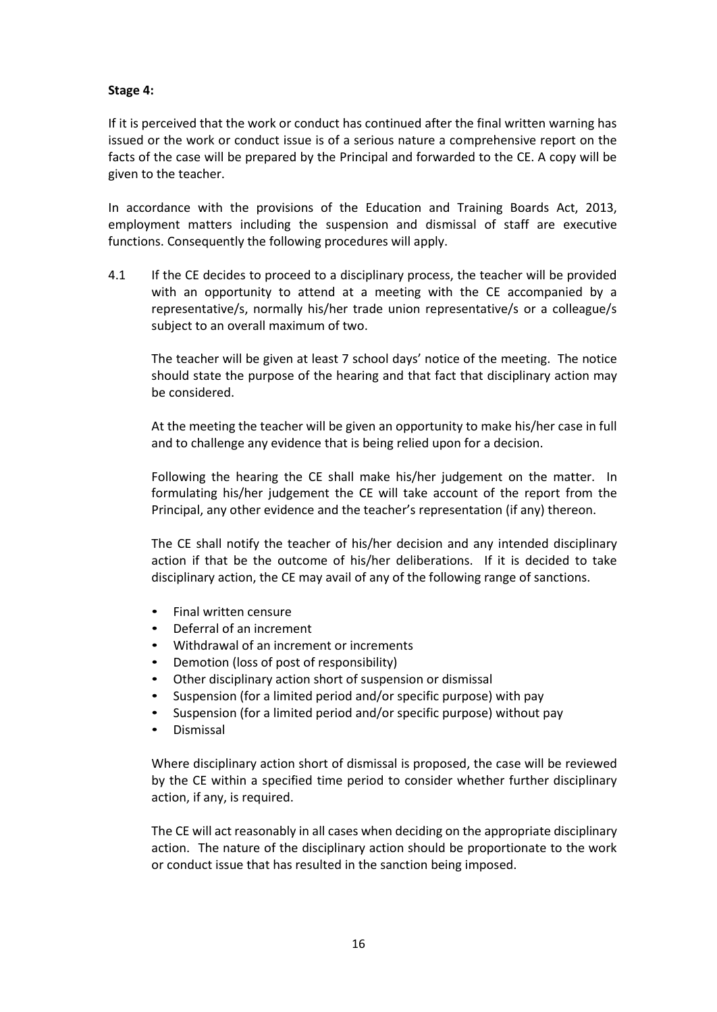## **Stage 4:**

If it is perceived that the work or conduct has continued after the final written warning has issued or the work or conduct issue is of a serious nature a comprehensive report on the facts of the case will be prepared by the Principal and forwarded to the CE. A copy will be given to the teacher.

In accordance with the provisions of the Education and Training Boards Act, 2013, employment matters including the suspension and dismissal of staff are executive functions. Consequently the following procedures will apply.

4.1 If the CE decides to proceed to a disciplinary process, the teacher will be provided with an opportunity to attend at a meeting with the CE accompanied by a representative/s, normally his/her trade union representative/s or a colleague/s subject to an overall maximum of two.

The teacher will be given at least 7 school days' notice of the meeting. The notice should state the purpose of the hearing and that fact that disciplinary action may be considered.

At the meeting the teacher will be given an opportunity to make his/her case in full and to challenge any evidence that is being relied upon for a decision.

Following the hearing the CE shall make his/her judgement on the matter. In formulating his/her judgement the CE will take account of the report from the Principal, any other evidence and the teacher's representation (if any) thereon.

The CE shall notify the teacher of his/her decision and any intended disciplinary action if that be the outcome of his/her deliberations. If it is decided to take disciplinary action, the CE may avail of any of the following range of sanctions.

- Final written censure
- Deferral of an increment
- Withdrawal of an increment or increments
- Demotion (loss of post of responsibility)
- Other disciplinary action short of suspension or dismissal
- Suspension (for a limited period and/or specific purpose) with pay
- Suspension (for a limited period and/or specific purpose) without pay
- Dismissal

Where disciplinary action short of dismissal is proposed, the case will be reviewed by the CE within a specified time period to consider whether further disciplinary action, if any, is required.

The CE will act reasonably in all cases when deciding on the appropriate disciplinary action. The nature of the disciplinary action should be proportionate to the work or conduct issue that has resulted in the sanction being imposed.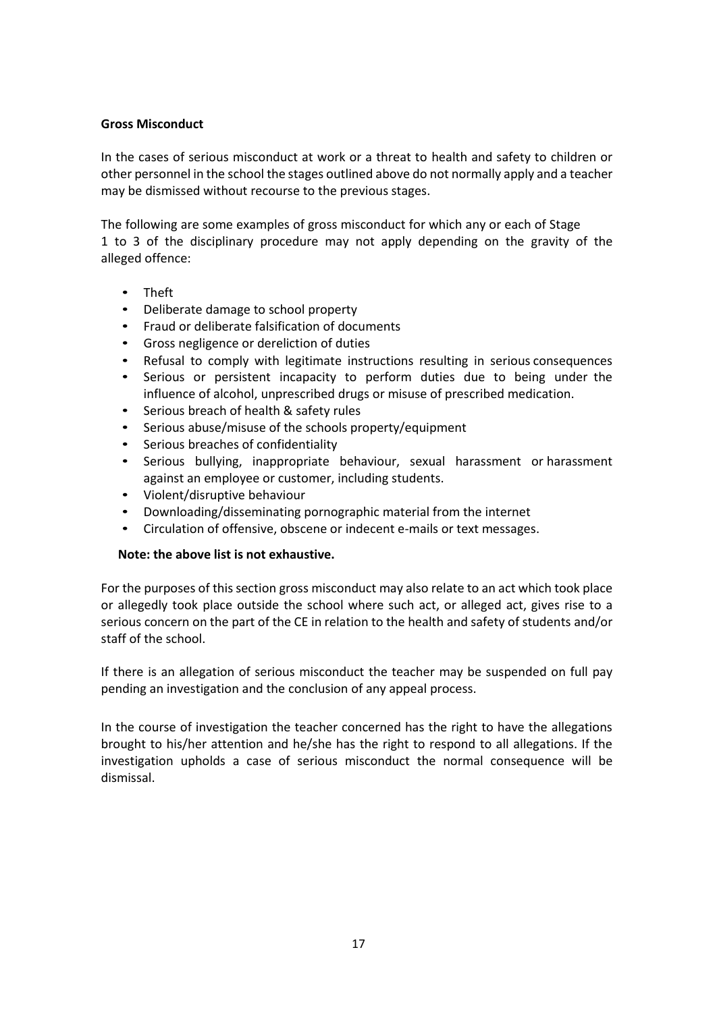# **Gross Misconduct**

In the cases of serious misconduct at work or a threat to health and safety to children or other personnel in the school the stages outlined above do not normally apply and a teacher may be dismissed without recourse to the previous stages.

The following are some examples of gross misconduct for which any or each of Stage 1 to 3 of the disciplinary procedure may not apply depending on the gravity of the alleged offence:

- Theft
- Deliberate damage to school property
- Fraud or deliberate falsification of documents
- Gross negligence or dereliction of duties
- Refusal to comply with legitimate instructions resulting in serious consequences
- Serious or persistent incapacity to perform duties due to being under the influence of alcohol, unprescribed drugs or misuse of prescribed medication.
- Serious breach of health & safety rules
- Serious abuse/misuse of the schools property/equipment
- Serious breaches of confidentiality
- Serious bullying, inappropriate behaviour, sexual harassment or harassment against an employee or customer, including students.
- Violent/disruptive behaviour
- Downloading/disseminating pornographic material from the internet
- Circulation of offensive, obscene or indecent e-mails or text messages.

### **Note: the above list is not exhaustive.**

For the purposes of this section gross misconduct may also relate to an act which took place or allegedly took place outside the school where such act, or alleged act, gives rise to a serious concern on the part of the CE in relation to the health and safety of students and/or staff of the school.

If there is an allegation of serious misconduct the teacher may be suspended on full pay pending an investigation and the conclusion of any appeal process.

In the course of investigation the teacher concerned has the right to have the allegations brought to his/her attention and he/she has the right to respond to all allegations. If the investigation upholds a case of serious misconduct the normal consequence will be dismissal.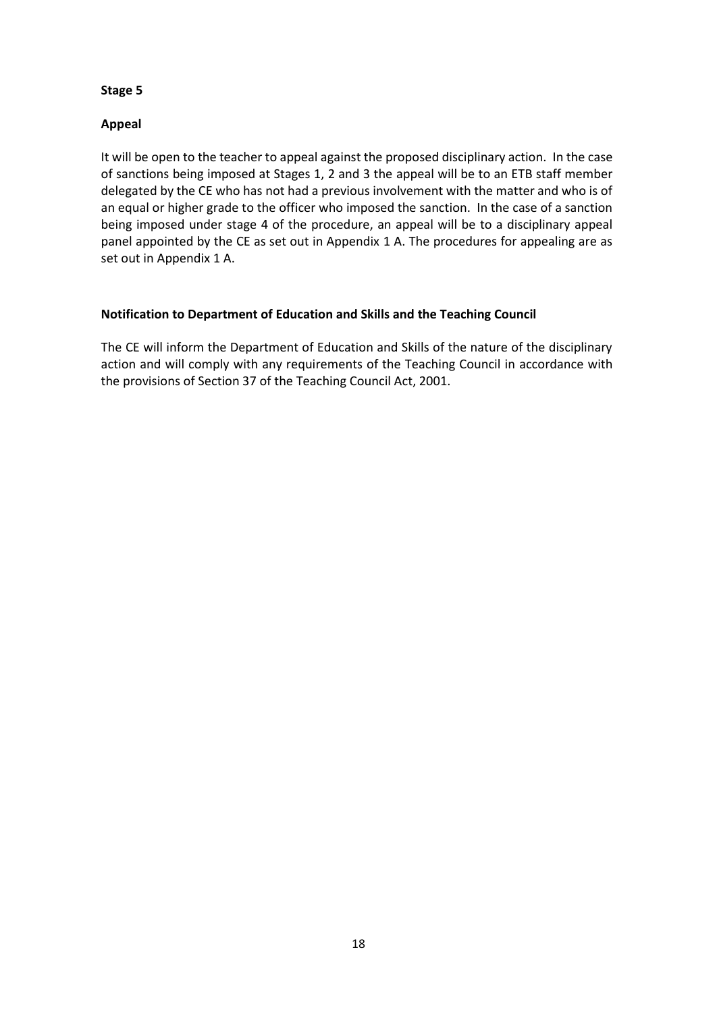# **Appeal**

It will be open to the teacher to appeal against the proposed disciplinary action. In the case of sanctions being imposed at Stages 1, 2 and 3 the appeal will be to an ETB staff member delegated by the CE who has not had a previous involvement with the matter and who is of an equal or higher grade to the officer who imposed the sanction. In the case of a sanction being imposed under stage 4 of the procedure, an appeal will be to a disciplinary appeal panel appointed by the CE as set out in Appendix 1 A. The procedures for appealing are as set out in Appendix 1 A.

# **Notification to Department of Education and Skills and the Teaching Council**

The CE will inform the Department of Education and Skills of the nature of the disciplinary action and will comply with any requirements of the Teaching Council in accordance with the provisions of Section 37 of the Teaching Council Act, 2001.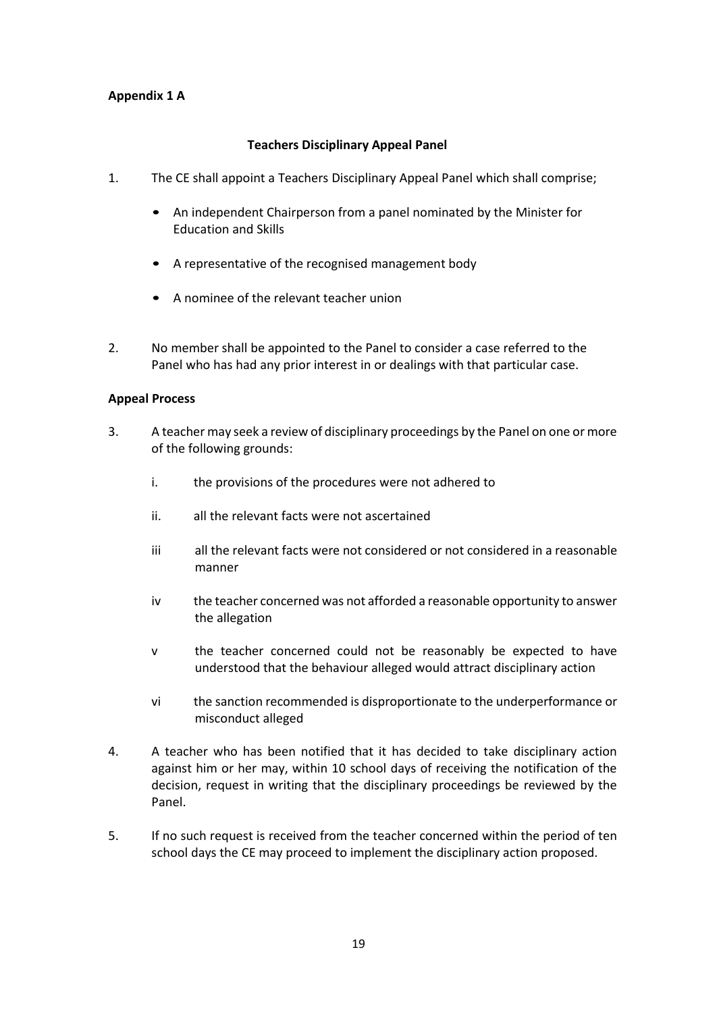# **Appendix 1 A**

## **Teachers Disciplinary Appeal Panel**

- 1. The CE shall appoint a Teachers Disciplinary Appeal Panel which shall comprise;
	- An independent Chairperson from a panel nominated by the Minister for Education and Skills
	- A representative of the recognised management body
	- A nominee of the relevant teacher union
- 2. No member shall be appointed to the Panel to consider a case referred to the Panel who has had any prior interest in or dealings with that particular case.

## **Appeal Process**

- 3. A teacher may seek a review of disciplinary proceedings by the Panel on one or more of the following grounds:
	- i. the provisions of the procedures were not adhered to
	- ii. all the relevant facts were not ascertained
	- iii all the relevant facts were not considered or not considered in a reasonable manner
	- iv the teacher concerned was not afforded a reasonable opportunity to answer the allegation
	- v the teacher concerned could not be reasonably be expected to have understood that the behaviour alleged would attract disciplinary action
	- vi the sanction recommended is disproportionate to the underperformance or misconduct alleged
- 4. A teacher who has been notified that it has decided to take disciplinary action against him or her may, within 10 school days of receiving the notification of the decision, request in writing that the disciplinary proceedings be reviewed by the Panel.
- 5. If no such request is received from the teacher concerned within the period of ten school days the CE may proceed to implement the disciplinary action proposed.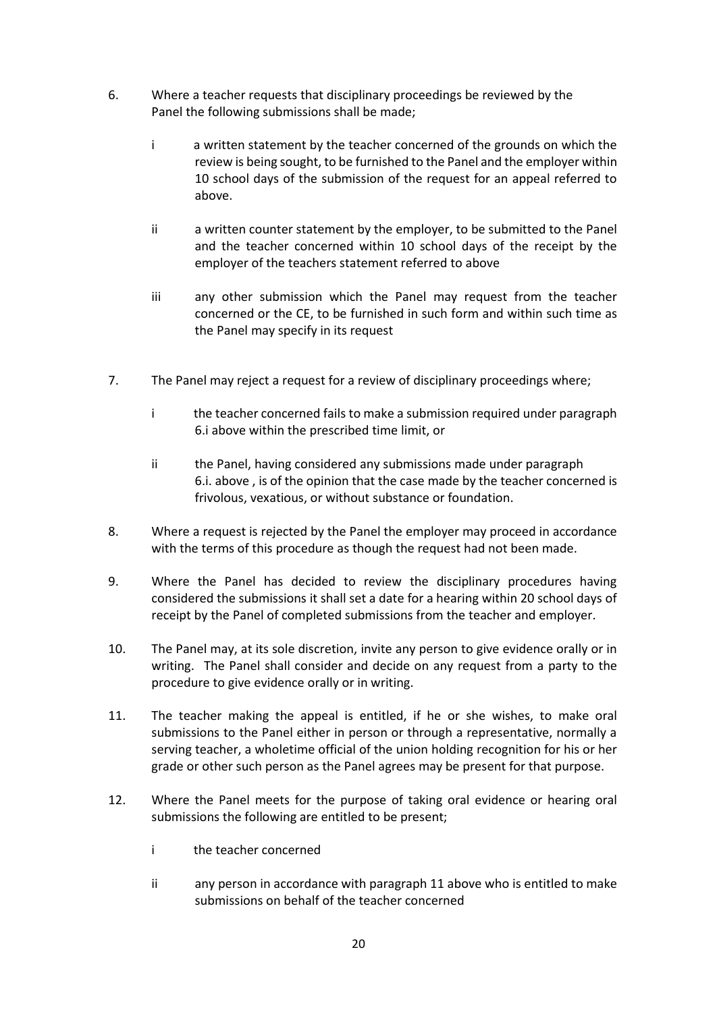- 6. Where a teacher requests that disciplinary proceedings be reviewed by the Panel the following submissions shall be made;
	- i a written statement by the teacher concerned of the grounds on which the review is being sought, to be furnished to the Panel and the employer within 10 school days of the submission of the request for an appeal referred to above.
	- ii a written counter statement by the employer, to be submitted to the Panel and the teacher concerned within 10 school days of the receipt by the employer of the teachers statement referred to above
	- iii any other submission which the Panel may request from the teacher concerned or the CE, to be furnished in such form and within such time as the Panel may specify in its request
- 7. The Panel may reject a request for a review of disciplinary proceedings where;
	- i the teacher concerned fails to make a submission required under paragraph 6.i above within the prescribed time limit, or
	- ii the Panel, having considered any submissions made under paragraph 6.i. above , is of the opinion that the case made by the teacher concerned is frivolous, vexatious, or without substance or foundation.
- 8. Where a request is rejected by the Panel the employer may proceed in accordance with the terms of this procedure as though the request had not been made.
- 9. Where the Panel has decided to review the disciplinary procedures having considered the submissions it shall set a date for a hearing within 20 school days of receipt by the Panel of completed submissions from the teacher and employer.
- 10. The Panel may, at its sole discretion, invite any person to give evidence orally or in writing. The Panel shall consider and decide on any request from a party to the procedure to give evidence orally or in writing.
- 11. The teacher making the appeal is entitled, if he or she wishes, to make oral submissions to the Panel either in person or through a representative, normally a serving teacher, a wholetime official of the union holding recognition for his or her grade or other such person as the Panel agrees may be present for that purpose.
- 12. Where the Panel meets for the purpose of taking oral evidence or hearing oral submissions the following are entitled to be present;
	- i the teacher concerned
	- ii any person in accordance with paragraph 11 above who is entitled to make submissions on behalf of the teacher concerned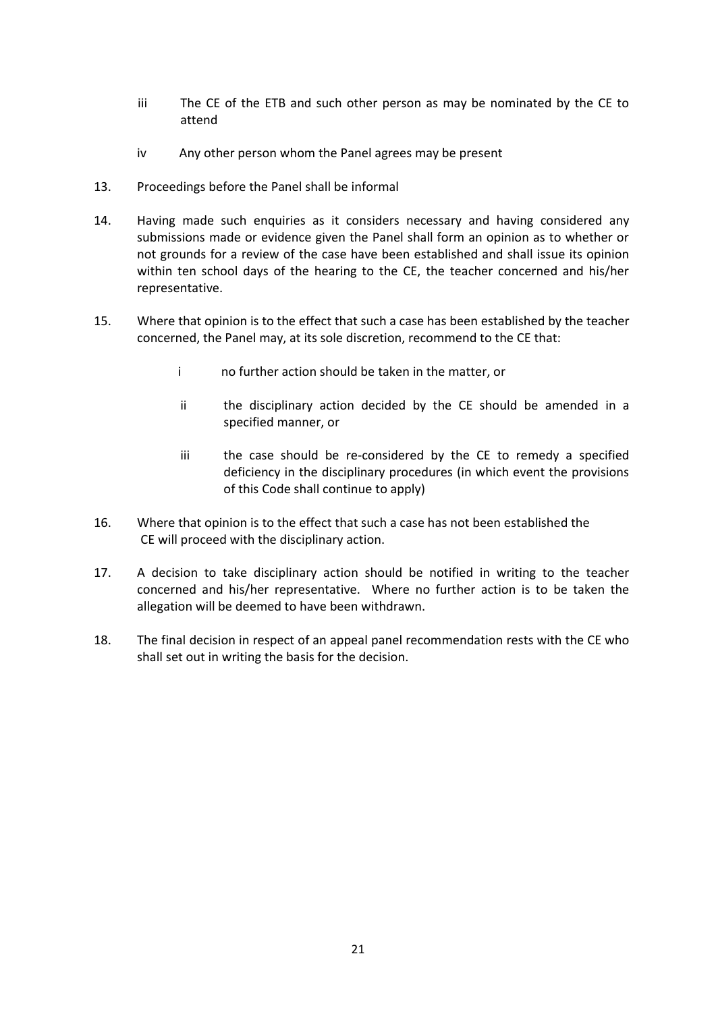- iii The CE of the ETB and such other person as may be nominated by the CE to attend
- iv Any other person whom the Panel agrees may be present
- 13. Proceedings before the Panel shall be informal
- 14. Having made such enquiries as it considers necessary and having considered any submissions made or evidence given the Panel shall form an opinion as to whether or not grounds for a review of the case have been established and shall issue its opinion within ten school days of the hearing to the CE, the teacher concerned and his/her representative.
- 15. Where that opinion is to the effect that such a case has been established by the teacher concerned, the Panel may, at its sole discretion, recommend to the CE that:
	- i no further action should be taken in the matter, or
	- ii the disciplinary action decided by the CE should be amended in a specified manner, or
	- iii the case should be re-considered by the CE to remedy a specified deficiency in the disciplinary procedures (in which event the provisions of this Code shall continue to apply)
- 16. Where that opinion is to the effect that such a case has not been established the CE will proceed with the disciplinary action.
- 17. A decision to take disciplinary action should be notified in writing to the teacher concerned and his/her representative. Where no further action is to be taken the allegation will be deemed to have been withdrawn.
- 18. The final decision in respect of an appeal panel recommendation rests with the CE who shall set out in writing the basis for the decision.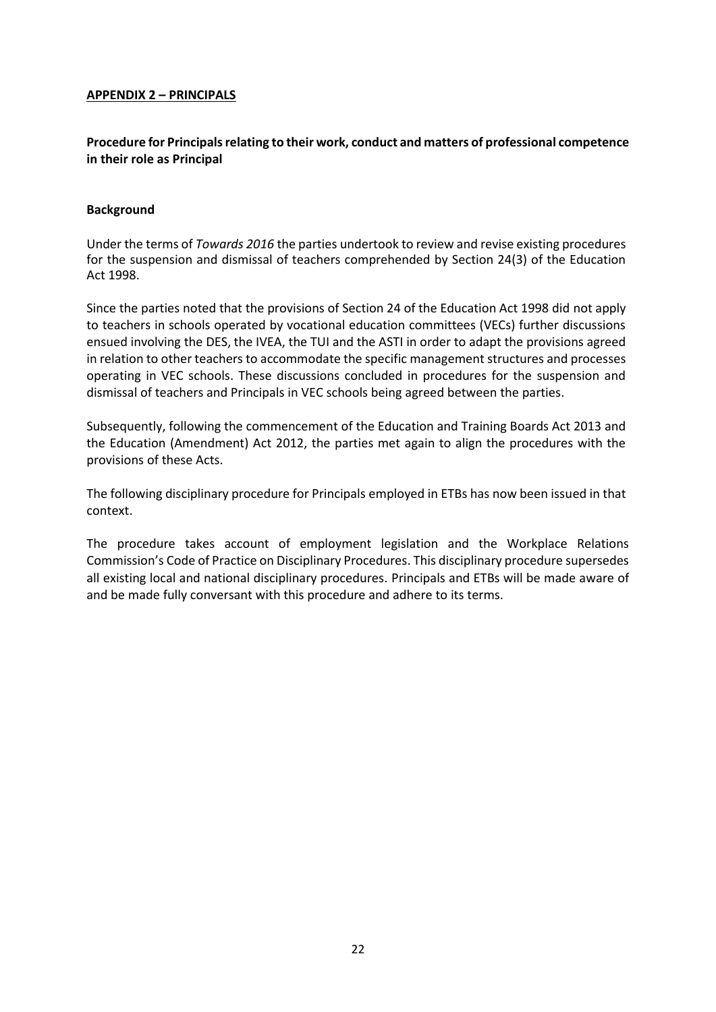## **APPENDIX 2 – PRINCIPALS**

# **Procedure for Principals relating to their work, conduct and matters of professional competence in their role as Principal**

## **Background**

Under the terms of *Towards 2016* the parties undertook to review and revise existing procedures for the suspension and dismissal of teachers comprehended by Section 24(3) of the Education Act 1998.

Since the parties noted that the provisions of Section 24 of the Education Act 1998 did not apply to teachers in schools operated by vocational education committees (VECs) further discussions ensued involving the DES, the IVEA, the TUI and the ASTI in order to adapt the provisions agreed in relation to other teachers to accommodate the specific management structures and processes operating in VEC schools. These discussions concluded in procedures for the suspension and dismissal of teachers and Principals in VEC schools being agreed between the parties.

Subsequently, following the commencement of the Education and Training Boards Act 2013 and the Education (Amendment) Act 2012, the parties met again to align the procedures with the provisions of these Acts.

The following disciplinary procedure for Principals employed in ETBs has now been issued in that context.

The procedure takes account of employment legislation and the Workplace Relations Commission's Code of Practice on Disciplinary Procedures. This disciplinary procedure supersedes all existing local and national disciplinary procedures. Principals and ETBs will be made aware of and be made fully conversant with this procedure and adhere to its terms.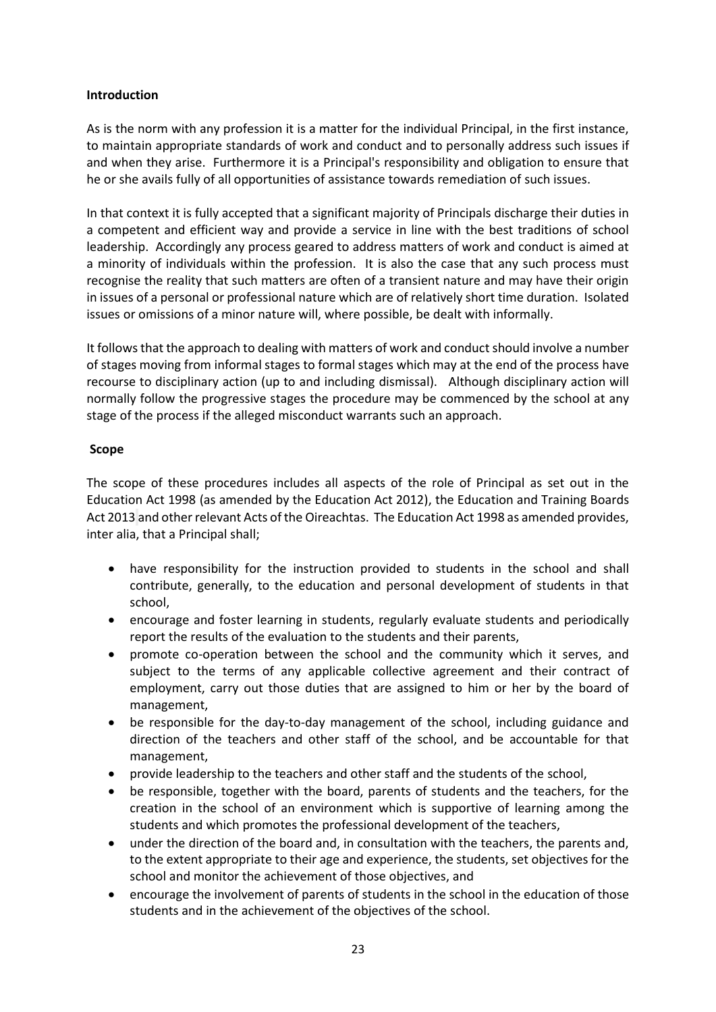## **Introduction**

As is the norm with any profession it is a matter for the individual Principal, in the first instance, to maintain appropriate standards of work and conduct and to personally address such issues if and when they arise. Furthermore it is a Principal's responsibility and obligation to ensure that he or she avails fully of all opportunities of assistance towards remediation of such issues.

In that context it is fully accepted that a significant majority of Principals discharge their duties in a competent and efficient way and provide a service in line with the best traditions of school leadership. Accordingly any process geared to address matters of work and conduct is aimed at a minority of individuals within the profession. It is also the case that any such process must recognise the reality that such matters are often of a transient nature and may have their origin in issues of a personal or professional nature which are of relatively short time duration. Isolated issues or omissions of a minor nature will, where possible, be dealt with informally.

It follows that the approach to dealing with matters of work and conduct should involve a number of stages moving from informal stages to formal stages which may at the end of the process have recourse to disciplinary action (up to and including dismissal). Although disciplinary action will normally follow the progressive stages the procedure may be commenced by the school at any stage of the process if the alleged misconduct warrants such an approach.

# **Scope**

The scope of these procedures includes all aspects of the role of Principal as set out in the Education Act 1998 (as amended by the Education Act 2012), the Education and Training Boards Act 2013 and other relevant Acts of the Oireachtas. The Education Act 1998 as amended provides, inter alia, that a Principal shall;

- have responsibility for the instruction provided to students in the school and shall contribute, generally, to the education and personal development of students in that school,
- encourage and foster learning in students, regularly evaluate students and periodically report the results of the evaluation to the students and their parents,
- promote co-operation between the school and the community which it serves, and subject to the terms of any applicable collective agreement and their contract of employment, carry out those duties that are assigned to him or her by the board of management,
- be responsible for the day-to-day management of the school, including guidance and direction of the teachers and other staff of the school, and be accountable for that management,
- provide leadership to the teachers and other staff and the students of the school,
- be responsible, together with the board, parents of students and the teachers, for the creation in the school of an environment which is supportive of learning among the students and which promotes the professional development of the teachers,
- under the direction of the board and, in consultation with the teachers, the parents and, to the extent appropriate to their age and experience, the students, set objectives for the school and monitor the achievement of those objectives, and
- encourage the involvement of parents of students in the school in the education of those students and in the achievement of the objectives of the school.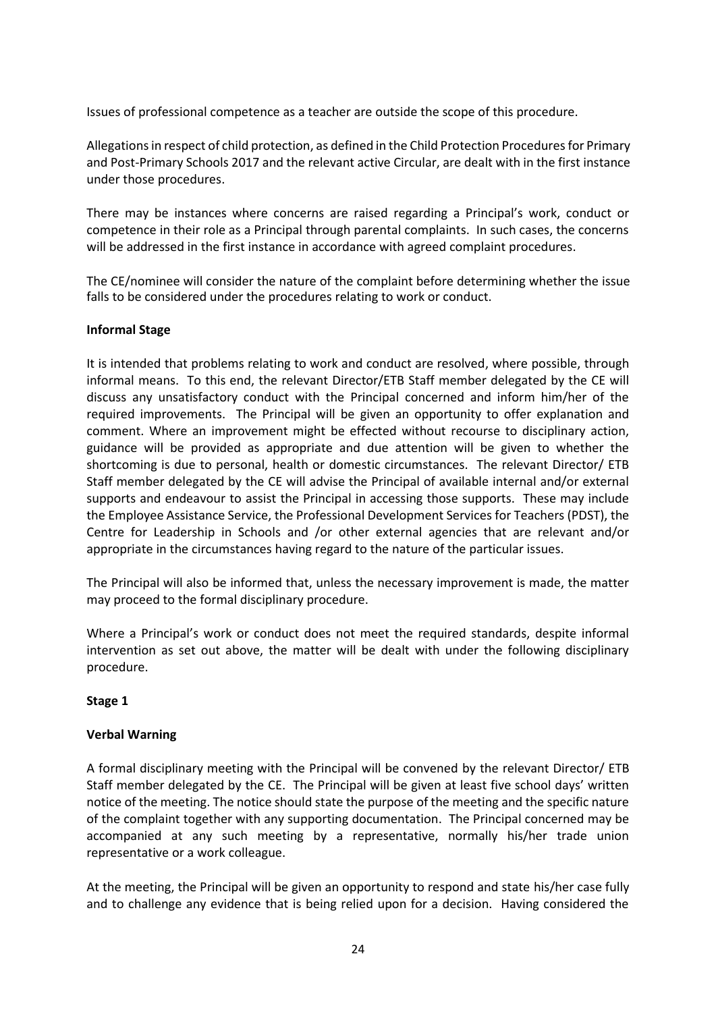Issues of professional competence as a teacher are outside the scope of this procedure.

Allegations in respect of child protection, as defined in the Child Protection Procedures for Primary and Post-Primary Schools 2017 and the relevant active Circular, are dealt with in the first instance under those procedures.

There may be instances where concerns are raised regarding a Principal's work, conduct or competence in their role as a Principal through parental complaints. In such cases, the concerns will be addressed in the first instance in accordance with agreed complaint procedures.

The CE/nominee will consider the nature of the complaint before determining whether the issue falls to be considered under the procedures relating to work or conduct.

# **Informal Stage**

It is intended that problems relating to work and conduct are resolved, where possible, through informal means. To this end, the relevant Director/ETB Staff member delegated by the CE will discuss any unsatisfactory conduct with the Principal concerned and inform him/her of the required improvements. The Principal will be given an opportunity to offer explanation and comment. Where an improvement might be effected without recourse to disciplinary action, guidance will be provided as appropriate and due attention will be given to whether the shortcoming is due to personal, health or domestic circumstances. The relevant Director/ ETB Staff member delegated by the CE will advise the Principal of available internal and/or external supports and endeavour to assist the Principal in accessing those supports. These may include the Employee Assistance Service, the Professional Development Services for Teachers (PDST), the Centre for Leadership in Schools and /or other external agencies that are relevant and/or appropriate in the circumstances having regard to the nature of the particular issues.

The Principal will also be informed that, unless the necessary improvement is made, the matter may proceed to the formal disciplinary procedure.

Where a Principal's work or conduct does not meet the required standards, despite informal intervention as set out above, the matter will be dealt with under the following disciplinary procedure.

### **Stage 1**

# **Verbal Warning**

A formal disciplinary meeting with the Principal will be convened by the relevant Director/ ETB Staff member delegated by the CE. The Principal will be given at least five school days' written notice of the meeting. The notice should state the purpose of the meeting and the specific nature of the complaint together with any supporting documentation. The Principal concerned may be accompanied at any such meeting by a representative, normally his/her trade union representative or a work colleague.

At the meeting, the Principal will be given an opportunity to respond and state his/her case fully and to challenge any evidence that is being relied upon for a decision. Having considered the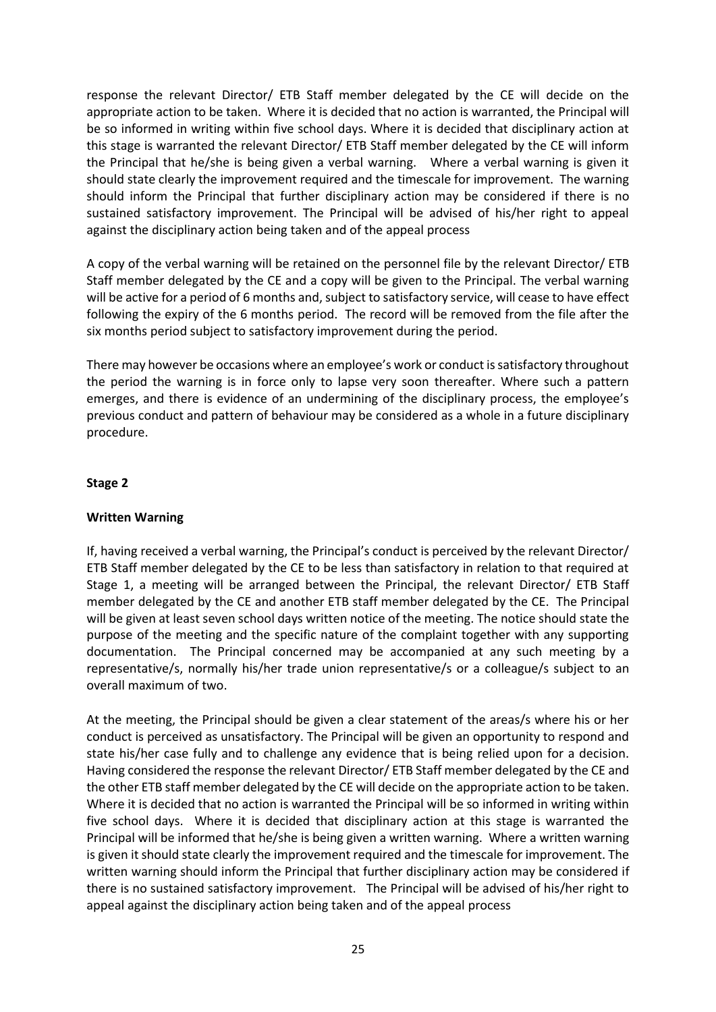response the relevant Director/ ETB Staff member delegated by the CE will decide on the appropriate action to be taken. Where it is decided that no action is warranted, the Principal will be so informed in writing within five school days. Where it is decided that disciplinary action at this stage is warranted the relevant Director/ ETB Staff member delegated by the CE will inform the Principal that he/she is being given a verbal warning. Where a verbal warning is given it should state clearly the improvement required and the timescale for improvement. The warning should inform the Principal that further disciplinary action may be considered if there is no sustained satisfactory improvement. The Principal will be advised of his/her right to appeal against the disciplinary action being taken and of the appeal process

A copy of the verbal warning will be retained on the personnel file by the relevant Director/ ETB Staff member delegated by the CE and a copy will be given to the Principal. The verbal warning will be active for a period of 6 months and, subject to satisfactory service, will cease to have effect following the expiry of the 6 months period. The record will be removed from the file after the six months period subject to satisfactory improvement during the period.

There may however be occasions where an employee's work or conduct is satisfactory throughout the period the warning is in force only to lapse very soon thereafter. Where such a pattern emerges, and there is evidence of an undermining of the disciplinary process, the employee's previous conduct and pattern of behaviour may be considered as a whole in a future disciplinary procedure.

# **Stage 2**

# **Written Warning**

If, having received a verbal warning, the Principal's conduct is perceived by the relevant Director/ ETB Staff member delegated by the CE to be less than satisfactory in relation to that required at Stage 1, a meeting will be arranged between the Principal, the relevant Director/ ETB Staff member delegated by the CE and another ETB staff member delegated by the CE. The Principal will be given at least seven school days written notice of the meeting. The notice should state the purpose of the meeting and the specific nature of the complaint together with any supporting documentation. The Principal concerned may be accompanied at any such meeting by a representative/s, normally his/her trade union representative/s or a colleague/s subject to an overall maximum of two.

At the meeting, the Principal should be given a clear statement of the areas/s where his or her conduct is perceived as unsatisfactory. The Principal will be given an opportunity to respond and state his/her case fully and to challenge any evidence that is being relied upon for a decision. Having considered the response the relevant Director/ ETB Staff member delegated by the CE and the other ETB staff member delegated by the CE will decide on the appropriate action to be taken. Where it is decided that no action is warranted the Principal will be so informed in writing within five school days. Where it is decided that disciplinary action at this stage is warranted the Principal will be informed that he/she is being given a written warning. Where a written warning is given it should state clearly the improvement required and the timescale for improvement. The written warning should inform the Principal that further disciplinary action may be considered if there is no sustained satisfactory improvement. The Principal will be advised of his/her right to appeal against the disciplinary action being taken and of the appeal process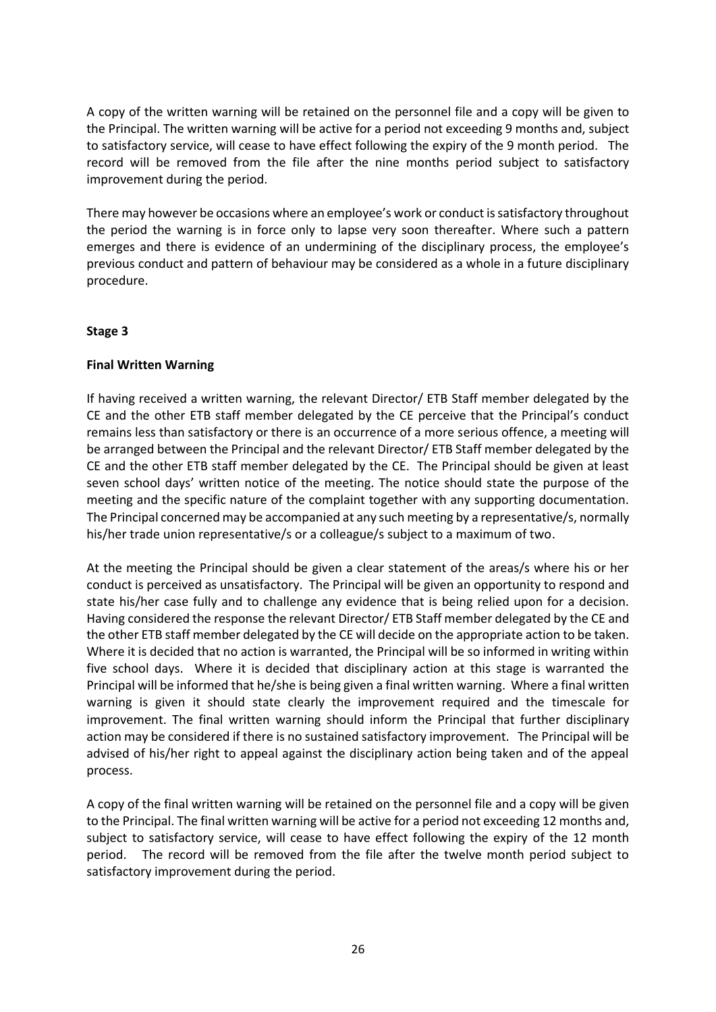A copy of the written warning will be retained on the personnel file and a copy will be given to the Principal. The written warning will be active for a period not exceeding 9 months and, subject to satisfactory service, will cease to have effect following the expiry of the 9 month period. The record will be removed from the file after the nine months period subject to satisfactory improvement during the period.

There may however be occasions where an employee's work or conduct is satisfactory throughout the period the warning is in force only to lapse very soon thereafter. Where such a pattern emerges and there is evidence of an undermining of the disciplinary process, the employee's previous conduct and pattern of behaviour may be considered as a whole in a future disciplinary procedure.

# **Stage 3**

# **Final Written Warning**

If having received a written warning, the relevant Director/ ETB Staff member delegated by the CE and the other ETB staff member delegated by the CE perceive that the Principal's conduct remains less than satisfactory or there is an occurrence of a more serious offence, a meeting will be arranged between the Principal and the relevant Director/ ETB Staff member delegated by the CE and the other ETB staff member delegated by the CE. The Principal should be given at least seven school days' written notice of the meeting. The notice should state the purpose of the meeting and the specific nature of the complaint together with any supporting documentation. The Principal concerned may be accompanied at any such meeting by a representative/s, normally his/her trade union representative/s or a colleague/s subject to a maximum of two.

At the meeting the Principal should be given a clear statement of the areas/s where his or her conduct is perceived as unsatisfactory. The Principal will be given an opportunity to respond and state his/her case fully and to challenge any evidence that is being relied upon for a decision. Having considered the response the relevant Director/ ETB Staff member delegated by the CE and the other ETB staff member delegated by the CE will decide on the appropriate action to be taken. Where it is decided that no action is warranted, the Principal will be so informed in writing within five school days. Where it is decided that disciplinary action at this stage is warranted the Principal will be informed that he/she is being given a final written warning. Where a final written warning is given it should state clearly the improvement required and the timescale for improvement. The final written warning should inform the Principal that further disciplinary action may be considered if there is no sustained satisfactory improvement. The Principal will be advised of his/her right to appeal against the disciplinary action being taken and of the appeal process.

A copy of the final written warning will be retained on the personnel file and a copy will be given to the Principal. The final written warning will be active for a period not exceeding 12 months and, subject to satisfactory service, will cease to have effect following the expiry of the 12 month period. The record will be removed from the file after the twelve month period subject to satisfactory improvement during the period.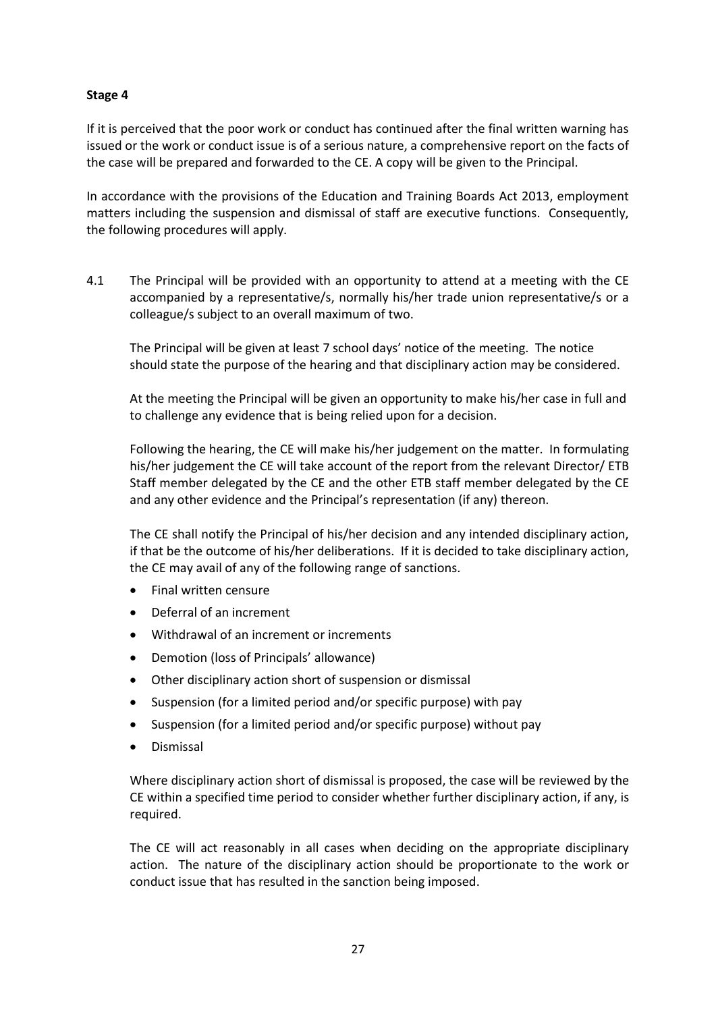If it is perceived that the poor work or conduct has continued after the final written warning has issued or the work or conduct issue is of a serious nature, a comprehensive report on the facts of the case will be prepared and forwarded to the CE. A copy will be given to the Principal.

In accordance with the provisions of the Education and Training Boards Act 2013, employment matters including the suspension and dismissal of staff are executive functions. Consequently, the following procedures will apply.

4.1 The Principal will be provided with an opportunity to attend at a meeting with the CE accompanied by a representative/s, normally his/her trade union representative/s or a colleague/s subject to an overall maximum of two.

The Principal will be given at least 7 school days' notice of the meeting. The notice should state the purpose of the hearing and that disciplinary action may be considered.

At the meeting the Principal will be given an opportunity to make his/her case in full and to challenge any evidence that is being relied upon for a decision.

Following the hearing, the CE will make his/her judgement on the matter. In formulating his/her judgement the CE will take account of the report from the relevant Director/ ETB Staff member delegated by the CE and the other ETB staff member delegated by the CE and any other evidence and the Principal's representation (if any) thereon.

The CE shall notify the Principal of his/her decision and any intended disciplinary action, if that be the outcome of his/her deliberations. If it is decided to take disciplinary action, the CE may avail of any of the following range of sanctions.

- Final written censure
- Deferral of an increment
- Withdrawal of an increment or increments
- Demotion (loss of Principals' allowance)
- Other disciplinary action short of suspension or dismissal
- Suspension (for a limited period and/or specific purpose) with pay
- Suspension (for a limited period and/or specific purpose) without pay
- **•** Dismissal

Where disciplinary action short of dismissal is proposed, the case will be reviewed by the CE within a specified time period to consider whether further disciplinary action, if any, is required.

The CE will act reasonably in all cases when deciding on the appropriate disciplinary action. The nature of the disciplinary action should be proportionate to the work or conduct issue that has resulted in the sanction being imposed.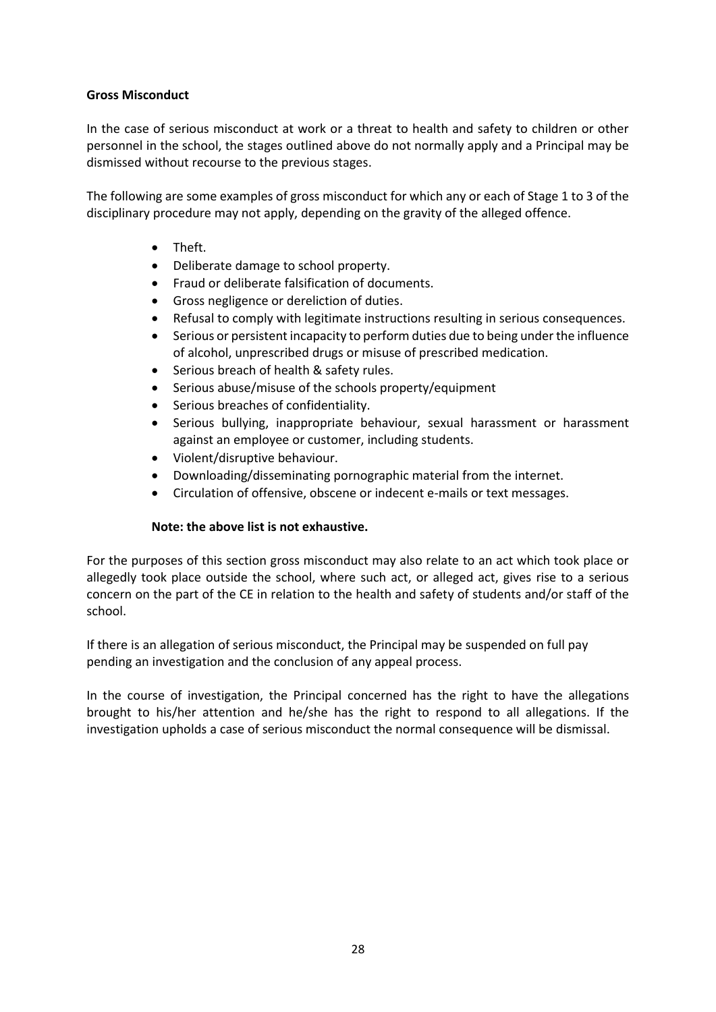# **Gross Misconduct**

In the case of serious misconduct at work or a threat to health and safety to children or other personnel in the school, the stages outlined above do not normally apply and a Principal may be dismissed without recourse to the previous stages.

The following are some examples of gross misconduct for which any or each of Stage 1 to 3 of the disciplinary procedure may not apply, depending on the gravity of the alleged offence.

- Theft.
- Deliberate damage to school property.
- Fraud or deliberate falsification of documents.
- Gross negligence or dereliction of duties.
- Refusal to comply with legitimate instructions resulting in serious consequences.
- Serious or persistent incapacity to perform duties due to being under the influence of alcohol, unprescribed drugs or misuse of prescribed medication.
- Serious breach of health & safety rules.
- Serious abuse/misuse of the schools property/equipment
- Serious breaches of confidentiality.
- Serious bullying, inappropriate behaviour, sexual harassment or harassment against an employee or customer, including students.
- Violent/disruptive behaviour.
- Downloading/disseminating pornographic material from the internet.
- Circulation of offensive, obscene or indecent e-mails or text messages.

# **Note: the above list is not exhaustive.**

For the purposes of this section gross misconduct may also relate to an act which took place or allegedly took place outside the school, where such act, or alleged act, gives rise to a serious concern on the part of the CE in relation to the health and safety of students and/or staff of the school.

If there is an allegation of serious misconduct, the Principal may be suspended on full pay pending an investigation and the conclusion of any appeal process.

In the course of investigation, the Principal concerned has the right to have the allegations brought to his/her attention and he/she has the right to respond to all allegations. If the investigation upholds a case of serious misconduct the normal consequence will be dismissal.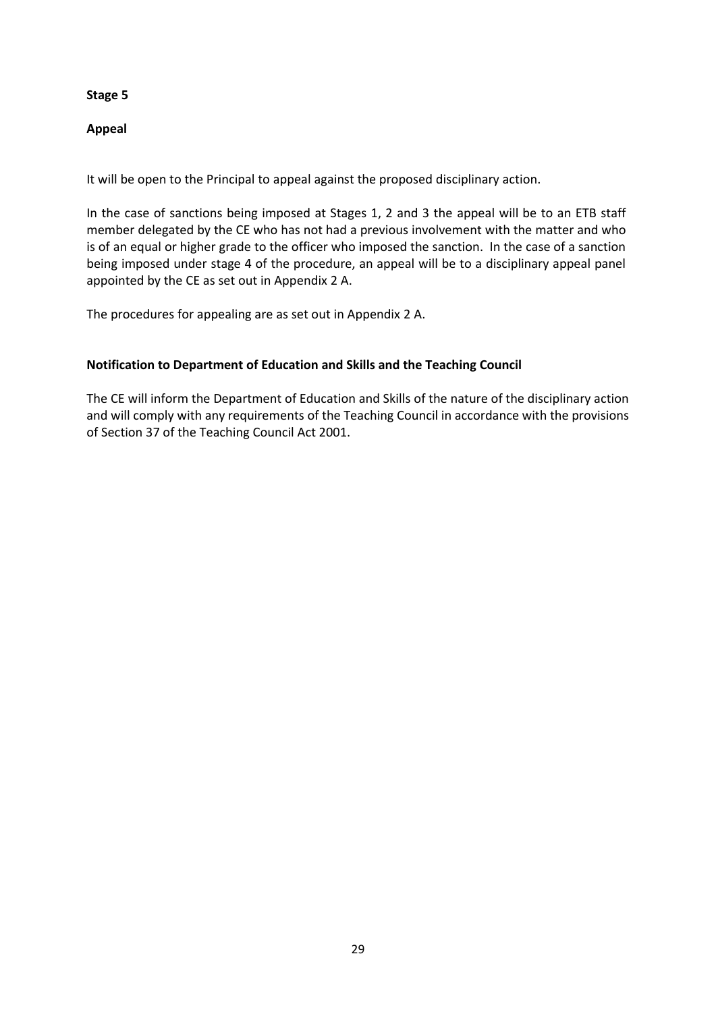# **Appeal**

It will be open to the Principal to appeal against the proposed disciplinary action.

In the case of sanctions being imposed at Stages 1, 2 and 3 the appeal will be to an ETB staff member delegated by the CE who has not had a previous involvement with the matter and who is of an equal or higher grade to the officer who imposed the sanction. In the case of a sanction being imposed under stage 4 of the procedure, an appeal will be to a disciplinary appeal panel appointed by the CE as set out in Appendix 2 A.

The procedures for appealing are as set out in Appendix 2 A.

# **Notification to Department of Education and Skills and the Teaching Council**

The CE will inform the Department of Education and Skills of the nature of the disciplinary action and will comply with any requirements of the Teaching Council in accordance with the provisions of Section 37 of the Teaching Council Act 2001.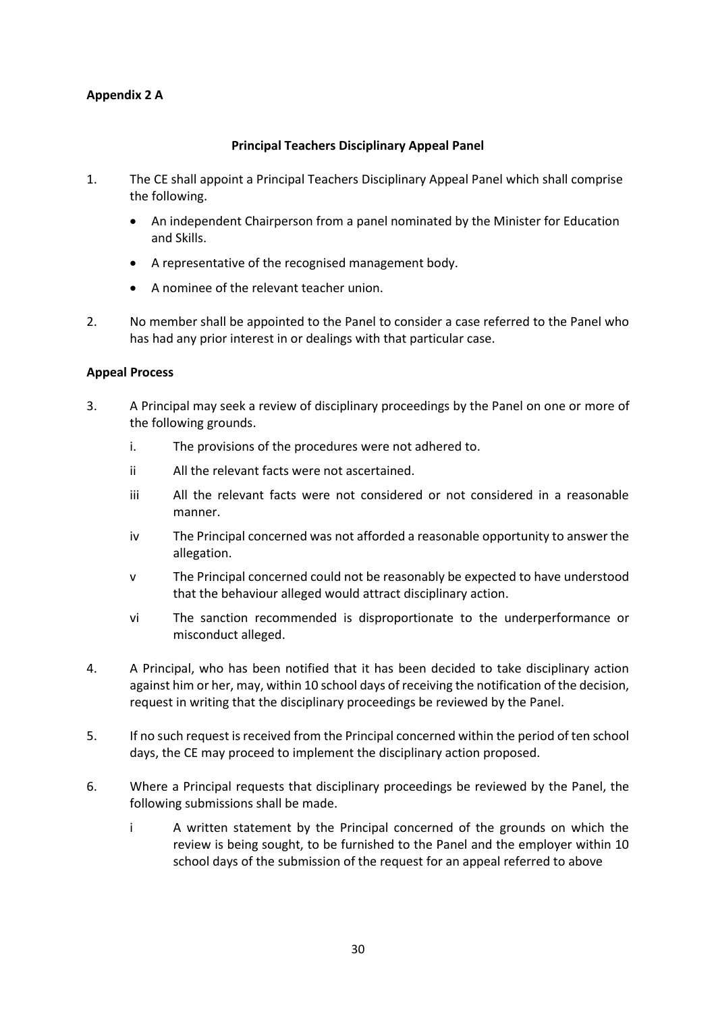# **Appendix 2 A**

# **Principal Teachers Disciplinary Appeal Panel**

- 1. The CE shall appoint a Principal Teachers Disciplinary Appeal Panel which shall comprise the following.
	- An independent Chairperson from a panel nominated by the Minister for Education and Skills.
	- A representative of the recognised management body.
	- A nominee of the relevant teacher union.
- 2. No member shall be appointed to the Panel to consider a case referred to the Panel who has had any prior interest in or dealings with that particular case.

# **Appeal Process**

- 3. A Principal may seek a review of disciplinary proceedings by the Panel on one or more of the following grounds.
	- i. The provisions of the procedures were not adhered to.
	- ii All the relevant facts were not ascertained.
	- iii All the relevant facts were not considered or not considered in a reasonable manner.
	- iv The Principal concerned was not afforded a reasonable opportunity to answer the allegation.
	- v The Principal concerned could not be reasonably be expected to have understood that the behaviour alleged would attract disciplinary action.
	- vi The sanction recommended is disproportionate to the underperformance or misconduct alleged.
- 4. A Principal, who has been notified that it has been decided to take disciplinary action against him or her, may, within 10 school days of receiving the notification of the decision, request in writing that the disciplinary proceedings be reviewed by the Panel.
- 5. If no such request is received from the Principal concerned within the period of ten school days, the CE may proceed to implement the disciplinary action proposed.
- 6. Where a Principal requests that disciplinary proceedings be reviewed by the Panel, the following submissions shall be made.
	- i A written statement by the Principal concerned of the grounds on which the review is being sought, to be furnished to the Panel and the employer within 10 school days of the submission of the request for an appeal referred to above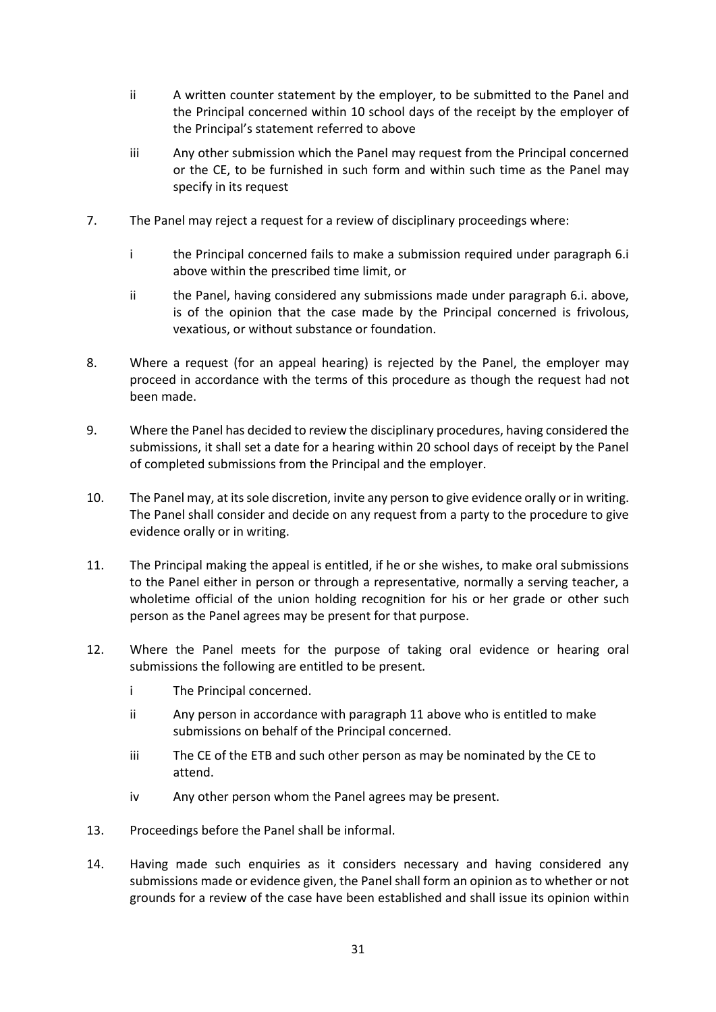- ii A written counter statement by the employer, to be submitted to the Panel and the Principal concerned within 10 school days of the receipt by the employer of the Principal's statement referred to above
- iii Any other submission which the Panel may request from the Principal concerned or the CE, to be furnished in such form and within such time as the Panel may specify in its request
- 7. The Panel may reject a request for a review of disciplinary proceedings where:
	- i the Principal concerned fails to make a submission required under paragraph 6.i above within the prescribed time limit, or
	- ii the Panel, having considered any submissions made under paragraph 6.i. above, is of the opinion that the case made by the Principal concerned is frivolous, vexatious, or without substance or foundation.
- 8. Where a request (for an appeal hearing) is rejected by the Panel, the employer may proceed in accordance with the terms of this procedure as though the request had not been made.
- 9. Where the Panel has decided to review the disciplinary procedures, having considered the submissions, it shall set a date for a hearing within 20 school days of receipt by the Panel of completed submissions from the Principal and the employer.
- 10. The Panel may, at its sole discretion, invite any person to give evidence orally or in writing. The Panel shall consider and decide on any request from a party to the procedure to give evidence orally or in writing.
- 11. The Principal making the appeal is entitled, if he or she wishes, to make oral submissions to the Panel either in person or through a representative, normally a serving teacher, a wholetime official of the union holding recognition for his or her grade or other such person as the Panel agrees may be present for that purpose.
- 12. Where the Panel meets for the purpose of taking oral evidence or hearing oral submissions the following are entitled to be present.
	- i The Principal concerned.
	- ii Any person in accordance with paragraph 11 above who is entitled to make submissions on behalf of the Principal concerned.
	- iii The CE of the ETB and such other person as may be nominated by the CE to attend.
	- iv Any other person whom the Panel agrees may be present.
- 13. Proceedings before the Panel shall be informal.
- 14. Having made such enquiries as it considers necessary and having considered any submissions made or evidence given, the Panel shall form an opinion as to whether or not grounds for a review of the case have been established and shall issue its opinion within